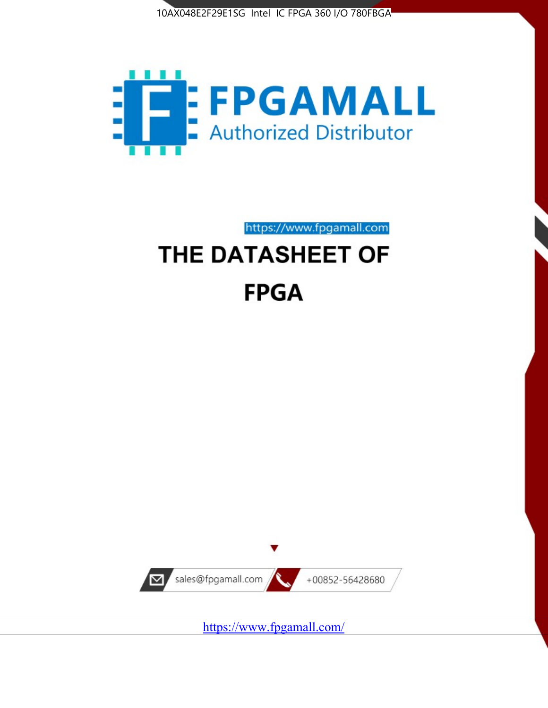



https://www.fpgamall.com

# THE DATASHEET OF **FPGA**



<https://www.fpgamall.com/>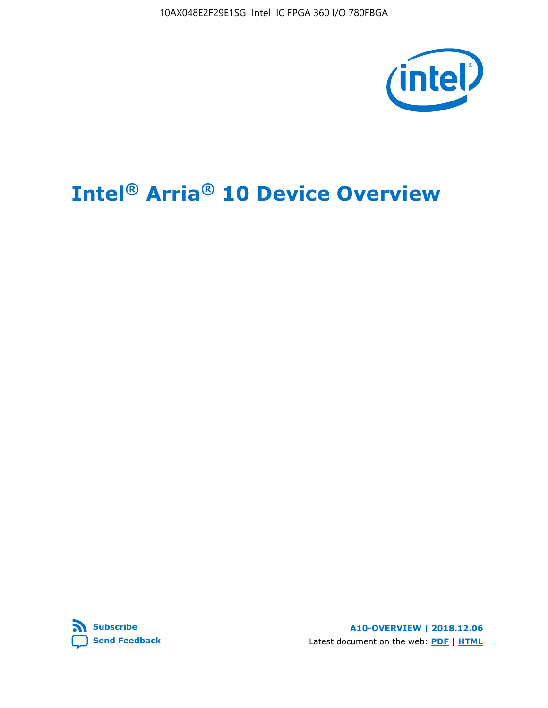10AX048E2F29E1SG Intel IC FPGA 360 I/O 780FBGA



# **Intel® Arria® 10 Device Overview**



**A10-OVERVIEW | 2018.12.06** Latest document on the web: **[PDF](https://www.intel.com/content/dam/www/programmable/us/en/pdfs/literature/hb/arria-10/a10_overview.pdf)** | **[HTML](https://www.intel.com/content/www/us/en/programmable/documentation/sam1403480274650.html)**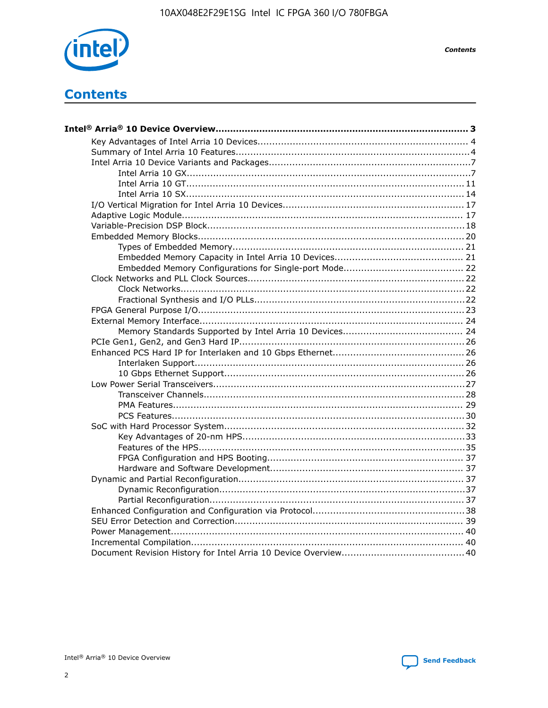

**Contents** 

## **Contents**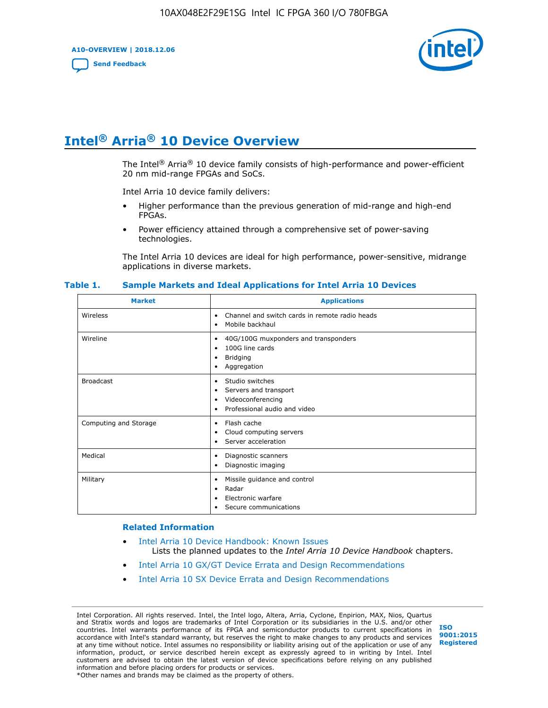**A10-OVERVIEW | 2018.12.06**

**[Send Feedback](mailto:FPGAtechdocfeedback@intel.com?subject=Feedback%20on%20Intel%20Arria%2010%20Device%20Overview%20(A10-OVERVIEW%202018.12.06)&body=We%20appreciate%20your%20feedback.%20In%20your%20comments,%20also%20specify%20the%20page%20number%20or%20paragraph.%20Thank%20you.)**



## **Intel® Arria® 10 Device Overview**

The Intel<sup>®</sup> Arria<sup>®</sup> 10 device family consists of high-performance and power-efficient 20 nm mid-range FPGAs and SoCs.

Intel Arria 10 device family delivers:

- Higher performance than the previous generation of mid-range and high-end FPGAs.
- Power efficiency attained through a comprehensive set of power-saving technologies.

The Intel Arria 10 devices are ideal for high performance, power-sensitive, midrange applications in diverse markets.

| <b>Market</b>         | <b>Applications</b>                                                                                               |
|-----------------------|-------------------------------------------------------------------------------------------------------------------|
| Wireless              | Channel and switch cards in remote radio heads<br>٠<br>Mobile backhaul<br>٠                                       |
| Wireline              | 40G/100G muxponders and transponders<br>٠<br>100G line cards<br>٠<br><b>Bridging</b><br>٠<br>Aggregation<br>٠     |
| <b>Broadcast</b>      | Studio switches<br>٠<br>Servers and transport<br>٠<br>Videoconferencing<br>٠<br>Professional audio and video<br>٠ |
| Computing and Storage | Flash cache<br>٠<br>Cloud computing servers<br>٠<br>Server acceleration<br>٠                                      |
| Medical               | Diagnostic scanners<br>٠<br>Diagnostic imaging<br>٠                                                               |
| Military              | Missile guidance and control<br>٠<br>Radar<br>٠<br>Electronic warfare<br>٠<br>Secure communications<br>٠          |

#### **Table 1. Sample Markets and Ideal Applications for Intel Arria 10 Devices**

#### **Related Information**

- [Intel Arria 10 Device Handbook: Known Issues](http://www.altera.com/support/kdb/solutions/rd07302013_646.html) Lists the planned updates to the *Intel Arria 10 Device Handbook* chapters.
- [Intel Arria 10 GX/GT Device Errata and Design Recommendations](https://www.intel.com/content/www/us/en/programmable/documentation/agz1493851706374.html#yqz1494433888646)
- [Intel Arria 10 SX Device Errata and Design Recommendations](https://www.intel.com/content/www/us/en/programmable/documentation/cru1462832385668.html#cru1462832558642)

Intel Corporation. All rights reserved. Intel, the Intel logo, Altera, Arria, Cyclone, Enpirion, MAX, Nios, Quartus and Stratix words and logos are trademarks of Intel Corporation or its subsidiaries in the U.S. and/or other countries. Intel warrants performance of its FPGA and semiconductor products to current specifications in accordance with Intel's standard warranty, but reserves the right to make changes to any products and services at any time without notice. Intel assumes no responsibility or liability arising out of the application or use of any information, product, or service described herein except as expressly agreed to in writing by Intel. Intel customers are advised to obtain the latest version of device specifications before relying on any published information and before placing orders for products or services. \*Other names and brands may be claimed as the property of others.

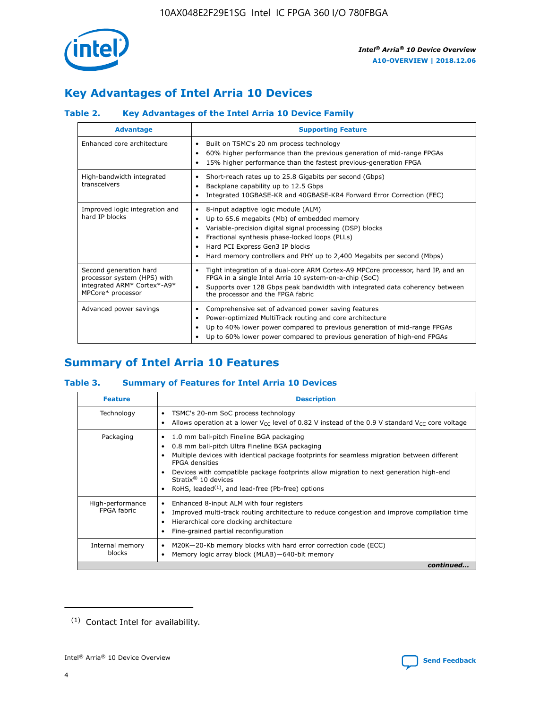

## **Key Advantages of Intel Arria 10 Devices**

#### **Table 2. Key Advantages of the Intel Arria 10 Device Family**

| <b>Advantage</b>                                                                                          | <b>Supporting Feature</b>                                                                                                                                                                                                                                                                                                |
|-----------------------------------------------------------------------------------------------------------|--------------------------------------------------------------------------------------------------------------------------------------------------------------------------------------------------------------------------------------------------------------------------------------------------------------------------|
| Enhanced core architecture                                                                                | Built on TSMC's 20 nm process technology<br>٠<br>60% higher performance than the previous generation of mid-range FPGAs<br>٠<br>15% higher performance than the fastest previous-generation FPGA<br>٠                                                                                                                    |
| High-bandwidth integrated<br>transceivers                                                                 | Short-reach rates up to 25.8 Gigabits per second (Gbps)<br>٠<br>Backplane capability up to 12.5 Gbps<br>٠<br>Integrated 10GBASE-KR and 40GBASE-KR4 Forward Error Correction (FEC)<br>٠                                                                                                                                   |
| Improved logic integration and<br>hard IP blocks                                                          | 8-input adaptive logic module (ALM)<br>٠<br>Up to 65.6 megabits (Mb) of embedded memory<br>٠<br>Variable-precision digital signal processing (DSP) blocks<br>Fractional synthesis phase-locked loops (PLLs)<br>Hard PCI Express Gen3 IP blocks<br>Hard memory controllers and PHY up to 2,400 Megabits per second (Mbps) |
| Second generation hard<br>processor system (HPS) with<br>integrated ARM* Cortex*-A9*<br>MPCore* processor | Tight integration of a dual-core ARM Cortex-A9 MPCore processor, hard IP, and an<br>٠<br>FPGA in a single Intel Arria 10 system-on-a-chip (SoC)<br>Supports over 128 Gbps peak bandwidth with integrated data coherency between<br>$\bullet$<br>the processor and the FPGA fabric                                        |
| Advanced power savings                                                                                    | Comprehensive set of advanced power saving features<br>٠<br>Power-optimized MultiTrack routing and core architecture<br>٠<br>Up to 40% lower power compared to previous generation of mid-range FPGAs<br>٠<br>Up to 60% lower power compared to previous generation of high-end FPGAs                                    |

## **Summary of Intel Arria 10 Features**

#### **Table 3. Summary of Features for Intel Arria 10 Devices**

| <b>Feature</b>                  | <b>Description</b>                                                                                                                                                                                                                                                                                                                                                                                           |
|---------------------------------|--------------------------------------------------------------------------------------------------------------------------------------------------------------------------------------------------------------------------------------------------------------------------------------------------------------------------------------------------------------------------------------------------------------|
| Technology                      | TSMC's 20-nm SoC process technology<br>Allows operation at a lower $V_{\text{CC}}$ level of 0.82 V instead of the 0.9 V standard $V_{\text{CC}}$ core voltage                                                                                                                                                                                                                                                |
| Packaging                       | 1.0 mm ball-pitch Fineline BGA packaging<br>٠<br>0.8 mm ball-pitch Ultra Fineline BGA packaging<br>Multiple devices with identical package footprints for seamless migration between different<br><b>FPGA</b> densities<br>Devices with compatible package footprints allow migration to next generation high-end<br>Stratix <sup>®</sup> 10 devices<br>RoHS, leaded $(1)$ , and lead-free (Pb-free) options |
| High-performance<br>FPGA fabric | Enhanced 8-input ALM with four registers<br>Improved multi-track routing architecture to reduce congestion and improve compilation time<br>Hierarchical core clocking architecture<br>Fine-grained partial reconfiguration                                                                                                                                                                                   |
| Internal memory<br>blocks       | M20K-20-Kb memory blocks with hard error correction code (ECC)<br>Memory logic array block (MLAB)-640-bit memory                                                                                                                                                                                                                                                                                             |
|                                 | continued                                                                                                                                                                                                                                                                                                                                                                                                    |



<sup>(1)</sup> Contact Intel for availability.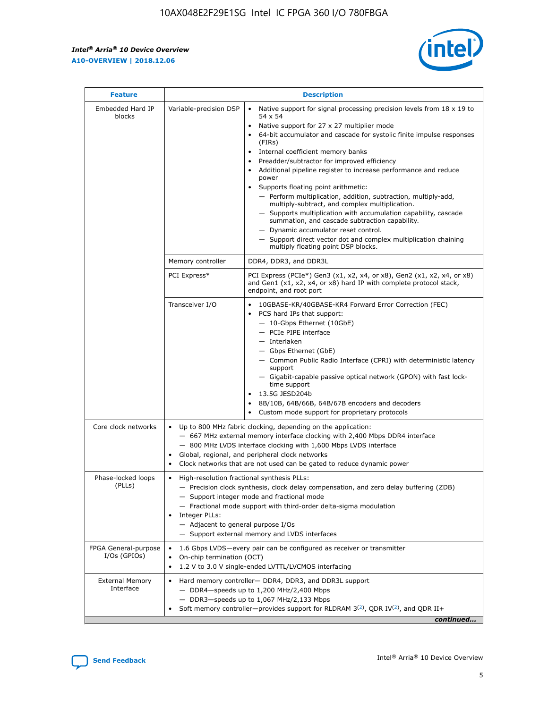$\mathsf{r}$ 



| <b>Feature</b>                         |                                                                                                                | <b>Description</b>                                                                                                                                                                                                                                                                                                                                                                                                                                                                                                                                                                                                                                                                                                                                                                                                                          |
|----------------------------------------|----------------------------------------------------------------------------------------------------------------|---------------------------------------------------------------------------------------------------------------------------------------------------------------------------------------------------------------------------------------------------------------------------------------------------------------------------------------------------------------------------------------------------------------------------------------------------------------------------------------------------------------------------------------------------------------------------------------------------------------------------------------------------------------------------------------------------------------------------------------------------------------------------------------------------------------------------------------------|
| Embedded Hard IP<br>blocks             | Variable-precision DSP                                                                                         | Native support for signal processing precision levels from $18 \times 19$ to<br>$\bullet$<br>54 x 54<br>Native support for 27 x 27 multiplier mode<br>64-bit accumulator and cascade for systolic finite impulse responses<br>(FIRS)<br>Internal coefficient memory banks<br>٠<br>Preadder/subtractor for improved efficiency<br>Additional pipeline register to increase performance and reduce<br>power<br>Supports floating point arithmetic:<br>- Perform multiplication, addition, subtraction, multiply-add,<br>multiply-subtract, and complex multiplication.<br>- Supports multiplication with accumulation capability, cascade<br>summation, and cascade subtraction capability.<br>- Dynamic accumulator reset control.<br>- Support direct vector dot and complex multiplication chaining<br>multiply floating point DSP blocks. |
|                                        | Memory controller                                                                                              | DDR4, DDR3, and DDR3L                                                                                                                                                                                                                                                                                                                                                                                                                                                                                                                                                                                                                                                                                                                                                                                                                       |
|                                        | PCI Express*                                                                                                   | PCI Express (PCIe*) Gen3 (x1, x2, x4, or x8), Gen2 (x1, x2, x4, or x8)<br>and Gen1 (x1, x2, x4, or x8) hard IP with complete protocol stack,<br>endpoint, and root port                                                                                                                                                                                                                                                                                                                                                                                                                                                                                                                                                                                                                                                                     |
|                                        | Transceiver I/O                                                                                                | 10GBASE-KR/40GBASE-KR4 Forward Error Correction (FEC)<br>PCS hard IPs that support:<br>- 10-Gbps Ethernet (10GbE)<br>- PCIe PIPE interface<br>- Interlaken<br>- Gbps Ethernet (GbE)<br>- Common Public Radio Interface (CPRI) with deterministic latency<br>support<br>- Gigabit-capable passive optical network (GPON) with fast lock-<br>time support<br>13.5G JESD204b<br>8B/10B, 64B/66B, 64B/67B encoders and decoders<br>Custom mode support for proprietary protocols                                                                                                                                                                                                                                                                                                                                                                |
| Core clock networks                    | $\bullet$                                                                                                      | Up to 800 MHz fabric clocking, depending on the application:<br>- 667 MHz external memory interface clocking with 2,400 Mbps DDR4 interface<br>- 800 MHz LVDS interface clocking with 1,600 Mbps LVDS interface<br>Global, regional, and peripheral clock networks<br>Clock networks that are not used can be gated to reduce dynamic power                                                                                                                                                                                                                                                                                                                                                                                                                                                                                                 |
| Phase-locked loops<br>(PLLs)           | High-resolution fractional synthesis PLLs:<br>$\bullet$<br>Integer PLLs:<br>- Adjacent to general purpose I/Os | - Precision clock synthesis, clock delay compensation, and zero delay buffering (ZDB)<br>- Support integer mode and fractional mode<br>- Fractional mode support with third-order delta-sigma modulation<br>- Support external memory and LVDS interfaces                                                                                                                                                                                                                                                                                                                                                                                                                                                                                                                                                                                   |
| FPGA General-purpose<br>$I/Os$ (GPIOs) | On-chip termination (OCT)<br>$\bullet$                                                                         | 1.6 Gbps LVDS-every pair can be configured as receiver or transmitter<br>1.2 V to 3.0 V single-ended LVTTL/LVCMOS interfacing                                                                                                                                                                                                                                                                                                                                                                                                                                                                                                                                                                                                                                                                                                               |
| <b>External Memory</b><br>Interface    |                                                                                                                | Hard memory controller- DDR4, DDR3, and DDR3L support<br>$-$ DDR4-speeds up to 1,200 MHz/2,400 Mbps<br>- DDR3-speeds up to 1,067 MHz/2,133 Mbps<br>Soft memory controller—provides support for RLDRAM $3^{(2)}$ , QDR IV $(2)$ , and QDR II+<br>continued                                                                                                                                                                                                                                                                                                                                                                                                                                                                                                                                                                                   |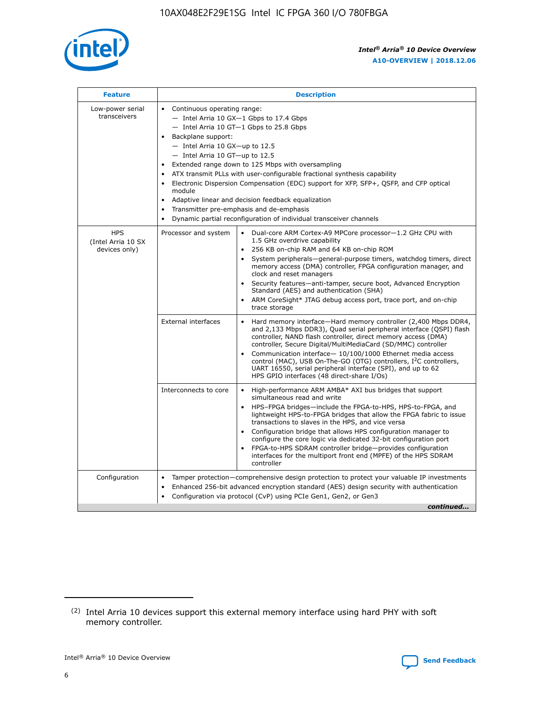

| <b>Feature</b>                                    | <b>Description</b>                                                                                                                                                                                                                                                                                                                                                                                                                                                                                                                                                                                                                                                        |  |  |  |  |  |  |
|---------------------------------------------------|---------------------------------------------------------------------------------------------------------------------------------------------------------------------------------------------------------------------------------------------------------------------------------------------------------------------------------------------------------------------------------------------------------------------------------------------------------------------------------------------------------------------------------------------------------------------------------------------------------------------------------------------------------------------------|--|--|--|--|--|--|
| Low-power serial<br>transceivers                  | • Continuous operating range:<br>- Intel Arria 10 GX-1 Gbps to 17.4 Gbps<br>$-$ Intel Arria 10 GT $-1$ Gbps to 25.8 Gbps<br>Backplane support:<br>$\bullet$<br>$-$ Intel Arria 10 GX-up to 12.5<br>$-$ Intel Arria 10 GT-up to 12.5<br>Extended range down to 125 Mbps with oversampling<br>ATX transmit PLLs with user-configurable fractional synthesis capability<br>Electronic Dispersion Compensation (EDC) support for XFP, SFP+, OSFP, and CFP optical<br>module<br>Adaptive linear and decision feedback equalization<br>$\bullet$<br>Transmitter pre-emphasis and de-emphasis<br>$\bullet$<br>Dynamic partial reconfiguration of individual transceiver channels |  |  |  |  |  |  |
| <b>HPS</b><br>(Intel Arria 10 SX<br>devices only) | Dual-core ARM Cortex-A9 MPCore processor-1.2 GHz CPU with<br>Processor and system<br>$\bullet$<br>1.5 GHz overdrive capability<br>256 KB on-chip RAM and 64 KB on-chip ROM<br>System peripherals-general-purpose timers, watchdog timers, direct<br>memory access (DMA) controller, FPGA configuration manager, and<br>clock and reset managers<br>• Security features—anti-tamper, secure boot, Advanced Encryption<br>Standard (AES) and authentication (SHA)<br>ARM CoreSight* JTAG debug access port, trace port, and on-chip<br>$\bullet$<br>trace storage                                                                                                           |  |  |  |  |  |  |
|                                                   | <b>External interfaces</b><br>Hard memory interface—Hard memory controller (2,400 Mbps DDR4,<br>and 2,133 Mbps DDR3), Quad serial peripheral interface (QSPI) flash<br>controller, NAND flash controller, direct memory access (DMA)<br>controller, Secure Digital/MultiMediaCard (SD/MMC) controller<br>Communication interface-10/100/1000 Ethernet media access<br>$\bullet$<br>control (MAC), USB On-The-GO (OTG) controllers, I <sup>2</sup> C controllers,<br>UART 16550, serial peripheral interface (SPI), and up to 62<br>HPS GPIO interfaces (48 direct-share I/Os)                                                                                             |  |  |  |  |  |  |
|                                                   | Interconnects to core<br>• High-performance ARM AMBA* AXI bus bridges that support<br>simultaneous read and write<br>HPS-FPGA bridges-include the FPGA-to-HPS, HPS-to-FPGA, and<br>$\bullet$<br>lightweight HPS-to-FPGA bridges that allow the FPGA fabric to issue<br>transactions to slaves in the HPS, and vice versa<br>Configuration bridge that allows HPS configuration manager to<br>configure the core logic via dedicated 32-bit configuration port<br>FPGA-to-HPS SDRAM controller bridge-provides configuration<br>interfaces for the multiport front end (MPFE) of the HPS SDRAM<br>controller                                                               |  |  |  |  |  |  |
| Configuration                                     | Tamper protection—comprehensive design protection to protect your valuable IP investments<br>Enhanced 256-bit advanced encryption standard (AES) design security with authentication<br>$\bullet$<br>Configuration via protocol (CvP) using PCIe Gen1, Gen2, or Gen3<br>continued                                                                                                                                                                                                                                                                                                                                                                                         |  |  |  |  |  |  |

<sup>(2)</sup> Intel Arria 10 devices support this external memory interface using hard PHY with soft memory controller.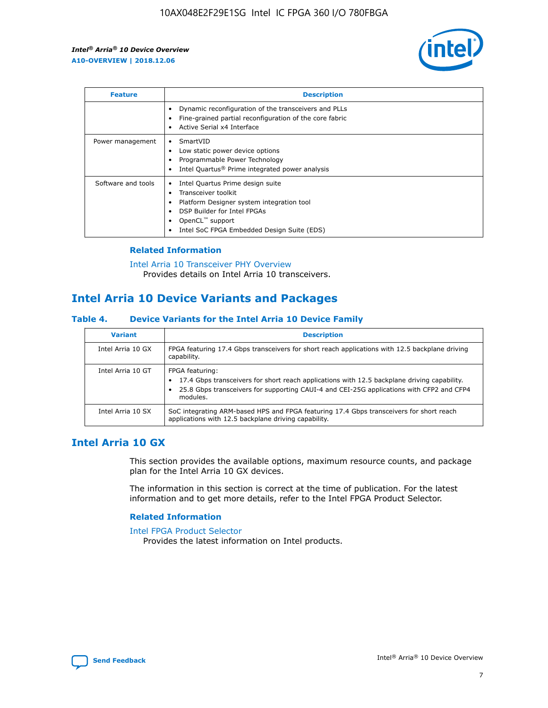

| <b>Feature</b>     | <b>Description</b>                                                                                                                                                                                                                 |
|--------------------|------------------------------------------------------------------------------------------------------------------------------------------------------------------------------------------------------------------------------------|
|                    | Dynamic reconfiguration of the transceivers and PLLs<br>Fine-grained partial reconfiguration of the core fabric<br>Active Serial x4 Interface                                                                                      |
| Power management   | SmartVID<br>Low static power device options<br>Programmable Power Technology<br>Intel Quartus <sup>®</sup> Prime integrated power analysis                                                                                         |
| Software and tools | Intel Quartus Prime design suite<br>٠<br>Transceiver toolkit<br>$\bullet$<br>Platform Designer system integration tool<br>DSP Builder for Intel FPGAs<br>OpenCL <sup>™</sup> support<br>Intel SoC FPGA Embedded Design Suite (EDS) |

#### **Related Information**

[Intel Arria 10 Transceiver PHY Overview](https://www.intel.com/content/www/us/en/programmable/documentation/nik1398707230472.html#nik1398706768037) Provides details on Intel Arria 10 transceivers.

## **Intel Arria 10 Device Variants and Packages**

#### **Table 4. Device Variants for the Intel Arria 10 Device Family**

| <b>Variant</b>    | <b>Description</b>                                                                                                                                                                                                     |
|-------------------|------------------------------------------------------------------------------------------------------------------------------------------------------------------------------------------------------------------------|
| Intel Arria 10 GX | FPGA featuring 17.4 Gbps transceivers for short reach applications with 12.5 backplane driving<br>capability.                                                                                                          |
| Intel Arria 10 GT | FPGA featuring:<br>17.4 Gbps transceivers for short reach applications with 12.5 backplane driving capability.<br>25.8 Gbps transceivers for supporting CAUI-4 and CEI-25G applications with CFP2 and CFP4<br>modules. |
| Intel Arria 10 SX | SoC integrating ARM-based HPS and FPGA featuring 17.4 Gbps transceivers for short reach<br>applications with 12.5 backplane driving capability.                                                                        |

## **Intel Arria 10 GX**

This section provides the available options, maximum resource counts, and package plan for the Intel Arria 10 GX devices.

The information in this section is correct at the time of publication. For the latest information and to get more details, refer to the Intel FPGA Product Selector.

#### **Related Information**

#### [Intel FPGA Product Selector](http://www.altera.com/products/selector/psg-selector.html) Provides the latest information on Intel products.

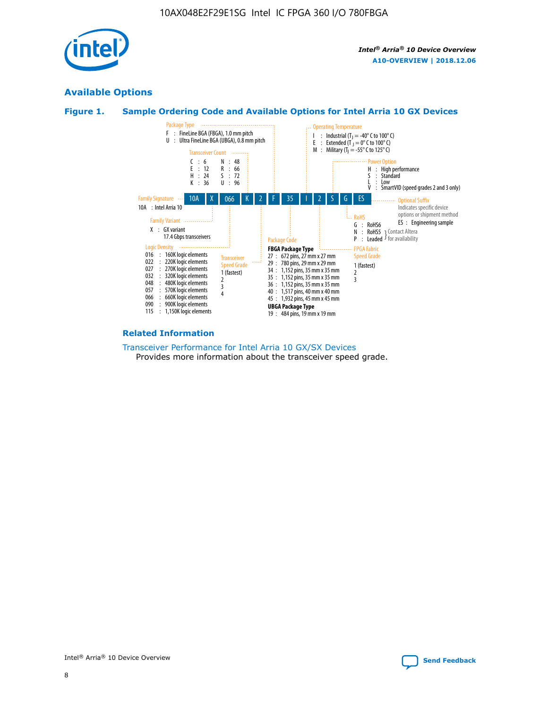

## **Available Options**





#### **Related Information**

[Transceiver Performance for Intel Arria 10 GX/SX Devices](https://www.intel.com/content/www/us/en/programmable/documentation/mcn1413182292568.html#mcn1413213965502) Provides more information about the transceiver speed grade.

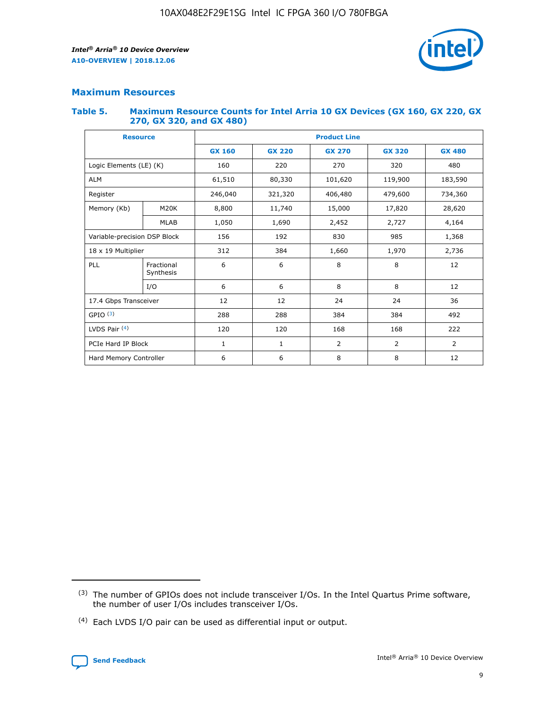

## **Maximum Resources**

#### **Table 5. Maximum Resource Counts for Intel Arria 10 GX Devices (GX 160, GX 220, GX 270, GX 320, and GX 480)**

| <b>Resource</b>              |                         | <b>Product Line</b> |                                |                    |                  |               |  |  |
|------------------------------|-------------------------|---------------------|--------------------------------|--------------------|------------------|---------------|--|--|
|                              |                         | <b>GX 160</b>       | <b>GX 220</b><br><b>GX 270</b> |                    | <b>GX 320</b>    | <b>GX 480</b> |  |  |
| Logic Elements (LE) (K)      |                         | 160                 | 220                            | 270                | 320              | 480           |  |  |
| <b>ALM</b>                   |                         | 61,510              | 80,330                         | 101,620            | 119,900          | 183,590       |  |  |
| Register                     |                         | 246,040             | 321,320                        | 406,480<br>479,600 |                  | 734,360       |  |  |
| Memory (Kb)                  | M <sub>20</sub> K       | 8,800               | 11,740<br>15,000               |                    | 17,820<br>28,620 |               |  |  |
|                              | <b>MLAB</b>             | 1,050               | 1,690                          | 2,452              | 2,727            | 4,164         |  |  |
| Variable-precision DSP Block |                         | 156                 | 192<br>830<br>985              |                    |                  | 1,368         |  |  |
| 18 x 19 Multiplier           |                         | 312                 | 384                            | 1,970<br>1,660     |                  | 2,736         |  |  |
| PLL                          | Fractional<br>Synthesis | 6                   | 6                              | 8                  | 8                | 12            |  |  |
|                              | I/O                     | 6                   | 6                              | 8                  | 8                | 12            |  |  |
| 17.4 Gbps Transceiver        |                         | 12                  | 12<br>24<br>24                 |                    |                  | 36            |  |  |
| GPIO <sup>(3)</sup>          |                         | 288                 | 288<br>384<br>384              |                    |                  | 492           |  |  |
| LVDS Pair $(4)$              |                         | 120                 | 120                            | 168                | 168              | 222           |  |  |
| PCIe Hard IP Block           |                         | 1                   | 1                              | $\overline{2}$     | $\overline{2}$   | 2             |  |  |
| Hard Memory Controller       |                         | 6                   | 6                              | 8                  | 8                | 12            |  |  |

<sup>(4)</sup> Each LVDS I/O pair can be used as differential input or output.



<sup>(3)</sup> The number of GPIOs does not include transceiver I/Os. In the Intel Quartus Prime software, the number of user I/Os includes transceiver I/Os.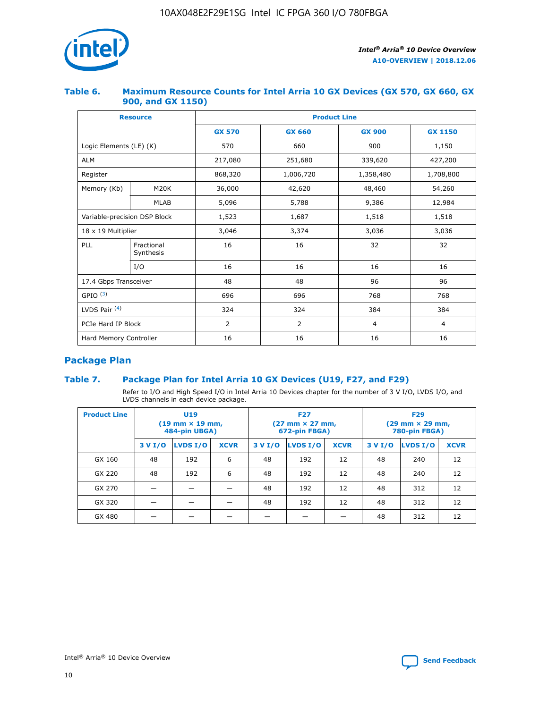

#### **Table 6. Maximum Resource Counts for Intel Arria 10 GX Devices (GX 570, GX 660, GX 900, and GX 1150)**

|                              | <b>Resource</b>         | <b>Product Line</b> |                |                |                |  |  |  |
|------------------------------|-------------------------|---------------------|----------------|----------------|----------------|--|--|--|
|                              |                         | <b>GX 570</b>       | <b>GX 660</b>  | <b>GX 900</b>  | <b>GX 1150</b> |  |  |  |
| Logic Elements (LE) (K)      |                         | 570                 | 660            | 900            | 1,150          |  |  |  |
| <b>ALM</b>                   |                         | 217,080             | 251,680        | 339,620        | 427,200        |  |  |  |
| Register                     |                         | 868,320             | 1,006,720      | 1,358,480      | 1,708,800      |  |  |  |
| Memory (Kb)                  | <b>M20K</b>             | 36,000              | 42,620         | 48,460         | 54,260         |  |  |  |
|                              | <b>MLAB</b>             | 5,096               | 5,788<br>9,386 |                | 12,984         |  |  |  |
| Variable-precision DSP Block |                         | 1,523               | 1,687          | 1,518          | 1,518          |  |  |  |
| $18 \times 19$ Multiplier    |                         | 3,046               | 3,374          | 3,036          | 3,036          |  |  |  |
| PLL                          | Fractional<br>Synthesis | 16                  | 16             | 32             | 32             |  |  |  |
|                              | I/O                     | 16                  | 16             | 16             | 16             |  |  |  |
| 17.4 Gbps Transceiver        |                         | 48                  | 48             | 96             | 96             |  |  |  |
| GPIO <sup>(3)</sup>          |                         | 696                 | 696            | 768            | 768            |  |  |  |
| LVDS Pair $(4)$              |                         | 324                 | 324<br>384     |                | 384            |  |  |  |
| PCIe Hard IP Block           |                         | 2                   | $\overline{2}$ | $\overline{4}$ | 4              |  |  |  |
| Hard Memory Controller       |                         | 16                  | 16             | 16             | 16             |  |  |  |

## **Package Plan**

#### **Table 7. Package Plan for Intel Arria 10 GX Devices (U19, F27, and F29)**

Refer to I/O and High Speed I/O in Intel Arria 10 Devices chapter for the number of 3 V I/O, LVDS I/O, and LVDS channels in each device package.

| <b>Product Line</b> | <b>U19</b><br>$(19 \text{ mm} \times 19 \text{ mm})$<br>484-pin UBGA) |          |             |         | <b>F27</b><br>(27 mm × 27 mm,<br>672-pin FBGA) |             | <b>F29</b><br>(29 mm × 29 mm,<br>780-pin FBGA) |          |             |  |
|---------------------|-----------------------------------------------------------------------|----------|-------------|---------|------------------------------------------------|-------------|------------------------------------------------|----------|-------------|--|
|                     | 3 V I/O                                                               | LVDS I/O | <b>XCVR</b> | 3 V I/O | <b>LVDS I/O</b>                                | <b>XCVR</b> | 3 V I/O                                        | LVDS I/O | <b>XCVR</b> |  |
| GX 160              | 48                                                                    | 192      | 6           | 48      | 192                                            | 12          | 48                                             | 240      | 12          |  |
| GX 220              | 48                                                                    | 192      | 6           | 48      | 192                                            | 12          | 48                                             | 240      | 12          |  |
| GX 270              |                                                                       |          |             | 48      | 192                                            | 12          | 48                                             | 312      | 12          |  |
| GX 320              |                                                                       |          |             | 48      | 192                                            | 12          | 48                                             | 312      | 12          |  |
| GX 480              |                                                                       |          |             |         |                                                |             | 48                                             | 312      | 12          |  |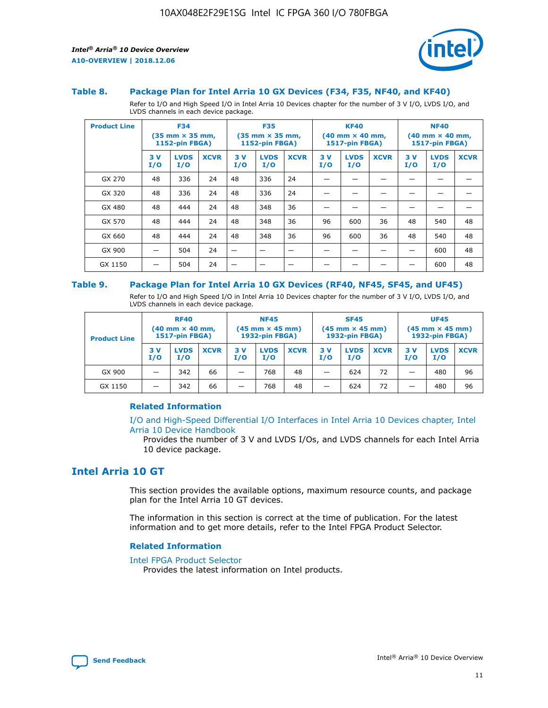

#### **Table 8. Package Plan for Intel Arria 10 GX Devices (F34, F35, NF40, and KF40)**

Refer to I/O and High Speed I/O in Intel Arria 10 Devices chapter for the number of 3 V I/O, LVDS I/O, and LVDS channels in each device package.

| <b>Product Line</b> | <b>F34</b><br>$(35 \text{ mm} \times 35 \text{ mm})$<br><b>1152-pin FBGA)</b> |                    | <b>F35</b><br>$(35 \text{ mm} \times 35 \text{ mm})$<br><b>1152-pin FBGA)</b> |           | <b>KF40</b><br>$(40$ mm $\times$ 40 mm,<br>1517-pin FBGA) |             |           | <b>NF40</b><br>$(40 \text{ mm} \times 40 \text{ mm})$<br>1517-pin FBGA) |             |           |                    |             |
|---------------------|-------------------------------------------------------------------------------|--------------------|-------------------------------------------------------------------------------|-----------|-----------------------------------------------------------|-------------|-----------|-------------------------------------------------------------------------|-------------|-----------|--------------------|-------------|
|                     | 3V<br>I/O                                                                     | <b>LVDS</b><br>I/O | <b>XCVR</b>                                                                   | 3V<br>I/O | <b>LVDS</b><br>I/O                                        | <b>XCVR</b> | 3V<br>I/O | <b>LVDS</b><br>I/O                                                      | <b>XCVR</b> | 3V<br>I/O | <b>LVDS</b><br>I/O | <b>XCVR</b> |
| GX 270              | 48                                                                            | 336                | 24                                                                            | 48        | 336                                                       | 24          |           |                                                                         |             |           |                    |             |
| GX 320              | 48                                                                            | 336                | 24                                                                            | 48        | 336                                                       | 24          |           |                                                                         |             |           |                    |             |
| GX 480              | 48                                                                            | 444                | 24                                                                            | 48        | 348                                                       | 36          |           |                                                                         |             |           |                    |             |
| GX 570              | 48                                                                            | 444                | 24                                                                            | 48        | 348                                                       | 36          | 96        | 600                                                                     | 36          | 48        | 540                | 48          |
| GX 660              | 48                                                                            | 444                | 24                                                                            | 48        | 348                                                       | 36          | 96        | 600                                                                     | 36          | 48        | 540                | 48          |
| GX 900              |                                                                               | 504                | 24                                                                            | –         |                                                           | -           |           |                                                                         |             |           | 600                | 48          |
| GX 1150             |                                                                               | 504                | 24                                                                            |           |                                                           |             |           |                                                                         |             |           | 600                | 48          |

#### **Table 9. Package Plan for Intel Arria 10 GX Devices (RF40, NF45, SF45, and UF45)**

Refer to I/O and High Speed I/O in Intel Arria 10 Devices chapter for the number of 3 V I/O, LVDS I/O, and LVDS channels in each device package.

| <b>Product Line</b> | <b>RF40</b><br>$(40$ mm $\times$ 40 mm,<br>1517-pin FBGA) |                    |             | <b>NF45</b><br>$(45 \text{ mm} \times 45 \text{ mm})$<br><b>1932-pin FBGA)</b> |                    |             | <b>SF45</b><br>$(45 \text{ mm} \times 45 \text{ mm})$<br><b>1932-pin FBGA)</b> |                    |             | <b>UF45</b><br>$(45 \text{ mm} \times 45 \text{ mm})$<br><b>1932-pin FBGA)</b> |                    |             |
|---------------------|-----------------------------------------------------------|--------------------|-------------|--------------------------------------------------------------------------------|--------------------|-------------|--------------------------------------------------------------------------------|--------------------|-------------|--------------------------------------------------------------------------------|--------------------|-------------|
|                     | 3V<br>I/O                                                 | <b>LVDS</b><br>I/O | <b>XCVR</b> | 3 V<br>I/O                                                                     | <b>LVDS</b><br>I/O | <b>XCVR</b> | 3 V<br>I/O                                                                     | <b>LVDS</b><br>I/O | <b>XCVR</b> | 3V<br>I/O                                                                      | <b>LVDS</b><br>I/O | <b>XCVR</b> |
| GX 900              |                                                           | 342                | 66          | _                                                                              | 768                | 48          |                                                                                | 624                | 72          |                                                                                | 480                | 96          |
| GX 1150             |                                                           | 342                | 66          | _                                                                              | 768                | 48          |                                                                                | 624                | 72          |                                                                                | 480                | 96          |

#### **Related Information**

[I/O and High-Speed Differential I/O Interfaces in Intel Arria 10 Devices chapter, Intel](https://www.intel.com/content/www/us/en/programmable/documentation/sam1403482614086.html#sam1403482030321) [Arria 10 Device Handbook](https://www.intel.com/content/www/us/en/programmable/documentation/sam1403482614086.html#sam1403482030321)

Provides the number of 3 V and LVDS I/Os, and LVDS channels for each Intel Arria 10 device package.

## **Intel Arria 10 GT**

This section provides the available options, maximum resource counts, and package plan for the Intel Arria 10 GT devices.

The information in this section is correct at the time of publication. For the latest information and to get more details, refer to the Intel FPGA Product Selector.

#### **Related Information**

#### [Intel FPGA Product Selector](http://www.altera.com/products/selector/psg-selector.html)

Provides the latest information on Intel products.

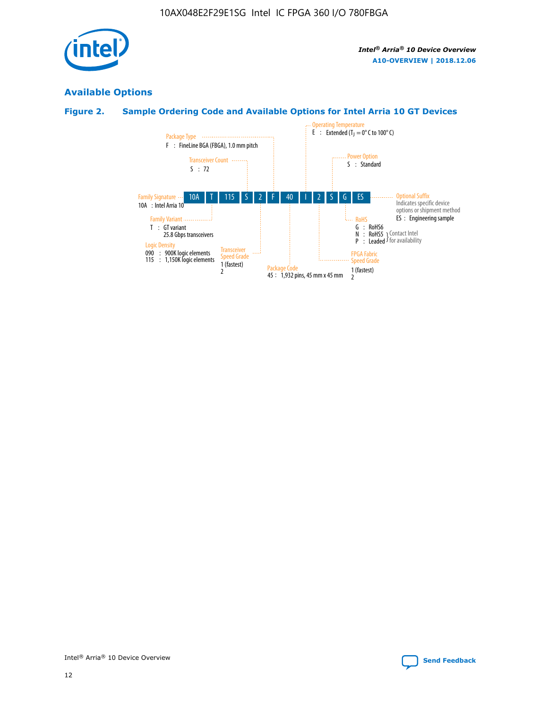

## **Available Options**

#### **Figure 2. Sample Ordering Code and Available Options for Intel Arria 10 GT Devices**

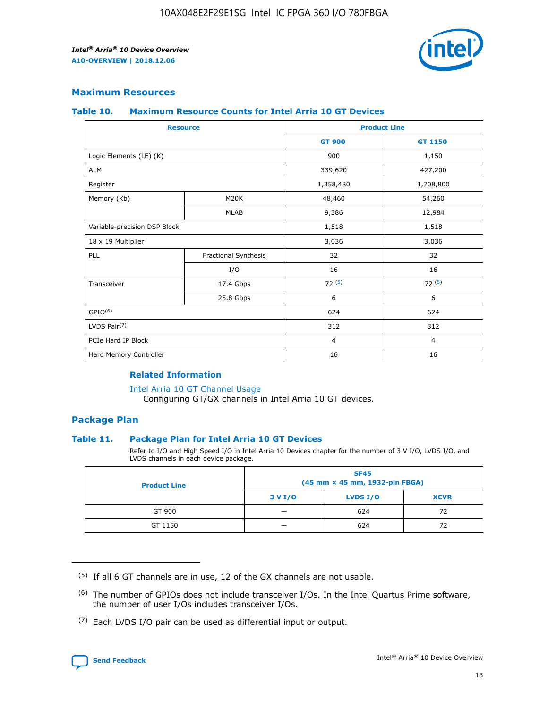

#### **Maximum Resources**

#### **Table 10. Maximum Resource Counts for Intel Arria 10 GT Devices**

| <b>Resource</b>              |                      | <b>Product Line</b> |                |  |
|------------------------------|----------------------|---------------------|----------------|--|
|                              |                      | <b>GT 900</b>       | GT 1150        |  |
| Logic Elements (LE) (K)      |                      | 900                 | 1,150          |  |
| <b>ALM</b>                   |                      | 339,620             | 427,200        |  |
| Register                     |                      | 1,358,480           | 1,708,800      |  |
| Memory (Kb)                  | M <sub>20</sub> K    | 48,460              | 54,260         |  |
|                              | <b>MLAB</b>          | 9,386               | 12,984         |  |
| Variable-precision DSP Block |                      | 1,518               | 1,518          |  |
| 18 x 19 Multiplier           |                      | 3,036               | 3,036          |  |
| <b>PLL</b>                   | Fractional Synthesis | 32                  | 32             |  |
|                              | I/O                  | 16                  | 16             |  |
| Transceiver                  | 17.4 Gbps            | 72(5)               | 72(5)          |  |
|                              | 25.8 Gbps            | 6                   | 6              |  |
| GPIO <sup>(6)</sup>          |                      | 624                 | 624            |  |
| LVDS Pair $(7)$              |                      | 312                 | 312            |  |
| PCIe Hard IP Block           |                      | $\overline{4}$      | $\overline{4}$ |  |
| Hard Memory Controller       |                      | 16                  | 16             |  |

#### **Related Information**

#### [Intel Arria 10 GT Channel Usage](https://www.intel.com/content/www/us/en/programmable/documentation/nik1398707230472.html#nik1398707008178)

Configuring GT/GX channels in Intel Arria 10 GT devices.

#### **Package Plan**

#### **Table 11. Package Plan for Intel Arria 10 GT Devices**

Refer to I/O and High Speed I/O in Intel Arria 10 Devices chapter for the number of 3 V I/O, LVDS I/O, and LVDS channels in each device package.

| <b>Product Line</b> | <b>SF45</b><br>(45 mm × 45 mm, 1932-pin FBGA) |                 |             |  |  |  |
|---------------------|-----------------------------------------------|-----------------|-------------|--|--|--|
|                     | 3 V I/O                                       | <b>LVDS I/O</b> | <b>XCVR</b> |  |  |  |
| GT 900              |                                               | 624             | 72          |  |  |  |
| GT 1150             |                                               | 624             | 72          |  |  |  |

<sup>(7)</sup> Each LVDS I/O pair can be used as differential input or output.



 $(5)$  If all 6 GT channels are in use, 12 of the GX channels are not usable.

<sup>(6)</sup> The number of GPIOs does not include transceiver I/Os. In the Intel Quartus Prime software, the number of user I/Os includes transceiver I/Os.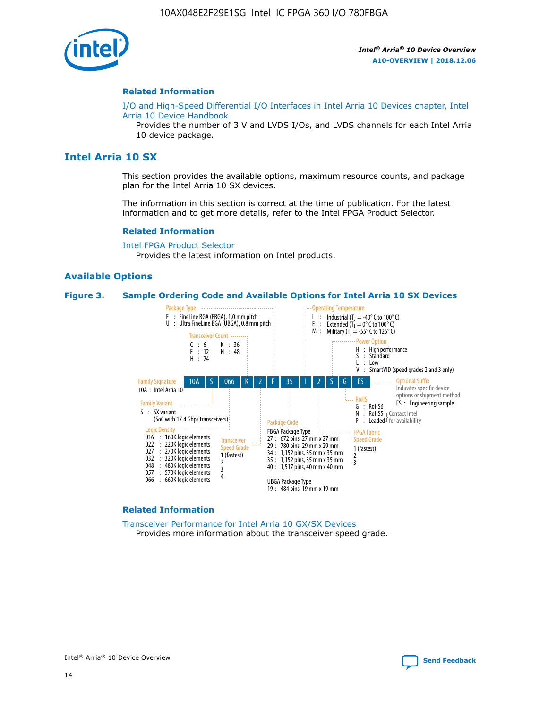

#### **Related Information**

[I/O and High-Speed Differential I/O Interfaces in Intel Arria 10 Devices chapter, Intel](https://www.intel.com/content/www/us/en/programmable/documentation/sam1403482614086.html#sam1403482030321) [Arria 10 Device Handbook](https://www.intel.com/content/www/us/en/programmable/documentation/sam1403482614086.html#sam1403482030321)

Provides the number of 3 V and LVDS I/Os, and LVDS channels for each Intel Arria 10 device package.

## **Intel Arria 10 SX**

This section provides the available options, maximum resource counts, and package plan for the Intel Arria 10 SX devices.

The information in this section is correct at the time of publication. For the latest information and to get more details, refer to the Intel FPGA Product Selector.

#### **Related Information**

[Intel FPGA Product Selector](http://www.altera.com/products/selector/psg-selector.html) Provides the latest information on Intel products.

#### **Available Options**

#### **Figure 3. Sample Ordering Code and Available Options for Intel Arria 10 SX Devices**



#### **Related Information**

[Transceiver Performance for Intel Arria 10 GX/SX Devices](https://www.intel.com/content/www/us/en/programmable/documentation/mcn1413182292568.html#mcn1413213965502) Provides more information about the transceiver speed grade.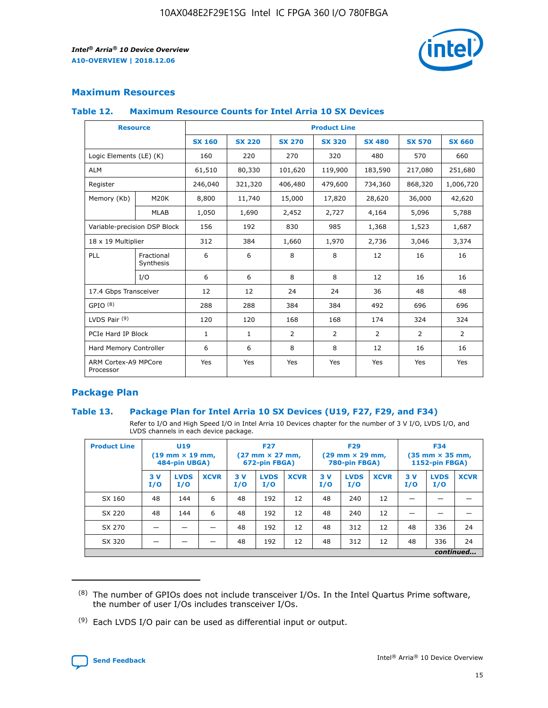

#### **Maximum Resources**

#### **Table 12. Maximum Resource Counts for Intel Arria 10 SX Devices**

|                                   | <b>Resource</b>         | <b>Product Line</b> |               |                |                |                |                |                |  |  |  |
|-----------------------------------|-------------------------|---------------------|---------------|----------------|----------------|----------------|----------------|----------------|--|--|--|
|                                   |                         | <b>SX 160</b>       | <b>SX 220</b> | <b>SX 270</b>  | <b>SX 320</b>  | <b>SX 480</b>  | <b>SX 570</b>  | <b>SX 660</b>  |  |  |  |
| Logic Elements (LE) (K)           |                         | 160                 | 220           | 270            | 320            | 480            | 570            | 660            |  |  |  |
| <b>ALM</b>                        |                         | 61,510              | 80,330        | 101,620        | 119,900        | 183,590        | 217,080        | 251,680        |  |  |  |
| Register                          |                         | 246,040             | 321,320       | 406,480        | 479,600        | 734,360        | 868,320        | 1,006,720      |  |  |  |
| Memory (Kb)                       | M <sub>20</sub> K       | 8,800               | 11,740        | 15,000         | 17,820         | 28,620         | 36,000         | 42,620         |  |  |  |
|                                   | <b>MLAB</b>             | 1,050               | 1,690         | 2,452          | 2,727          | 4,164          | 5,096          | 5,788          |  |  |  |
| Variable-precision DSP Block      |                         | 156                 | 192           | 830            | 985            | 1,368          | 1,523          | 1,687          |  |  |  |
| 18 x 19 Multiplier                |                         | 312                 | 384           | 1,660          | 1,970          | 2,736          | 3,046          | 3,374          |  |  |  |
| <b>PLL</b>                        | Fractional<br>Synthesis | 6                   | 6             | 8              | 8              | 12             | 16             | 16             |  |  |  |
|                                   | I/O                     | 6                   | 6             | 8              | 8              | 12             | 16             | 16             |  |  |  |
| 17.4 Gbps Transceiver             |                         | 12                  | 12            | 24             | 24             | 36             | 48             | 48             |  |  |  |
| GPIO <sup>(8)</sup>               |                         | 288                 | 288           | 384            | 384            | 492            | 696            | 696            |  |  |  |
| LVDS Pair $(9)$                   |                         | 120                 | 120           | 168            | 168            | 174            | 324            | 324            |  |  |  |
| PCIe Hard IP Block                |                         | $\mathbf{1}$        | $\mathbf{1}$  | $\overline{2}$ | $\overline{2}$ | $\overline{2}$ | $\overline{2}$ | $\overline{2}$ |  |  |  |
| Hard Memory Controller            |                         | 6                   | 6             | 8              | 8              | 12             | 16             | 16             |  |  |  |
| ARM Cortex-A9 MPCore<br>Processor |                         | Yes                 | Yes           | Yes            | Yes            | Yes            | Yes            | Yes            |  |  |  |

#### **Package Plan**

#### **Table 13. Package Plan for Intel Arria 10 SX Devices (U19, F27, F29, and F34)**

Refer to I/O and High Speed I/O in Intel Arria 10 Devices chapter for the number of 3 V I/O, LVDS I/O, and LVDS channels in each device package.

| <b>Product Line</b> | U19<br>$(19 \text{ mm} \times 19 \text{ mm})$<br>484-pin UBGA) |                    | <b>F27</b><br>$(27 \text{ mm} \times 27 \text{ mm})$<br>672-pin FBGA) |           | <b>F29</b><br>$(29 \text{ mm} \times 29 \text{ mm})$<br>780-pin FBGA) |             |            | <b>F34</b><br>$(35 \text{ mm} \times 35 \text{ mm})$<br><b>1152-pin FBGA)</b> |             |           |                    |             |
|---------------------|----------------------------------------------------------------|--------------------|-----------------------------------------------------------------------|-----------|-----------------------------------------------------------------------|-------------|------------|-------------------------------------------------------------------------------|-------------|-----------|--------------------|-------------|
|                     | 3V<br>I/O                                                      | <b>LVDS</b><br>I/O | <b>XCVR</b>                                                           | 3V<br>I/O | <b>LVDS</b><br>I/O                                                    | <b>XCVR</b> | 3 V<br>I/O | <b>LVDS</b><br>I/O                                                            | <b>XCVR</b> | 3V<br>I/O | <b>LVDS</b><br>I/O | <b>XCVR</b> |
| SX 160              | 48                                                             | 144                | 6                                                                     | 48        | 192                                                                   | 12          | 48         | 240                                                                           | 12          | –         |                    |             |
| SX 220              | 48                                                             | 144                | 6                                                                     | 48        | 192                                                                   | 12          | 48         | 240                                                                           | 12          |           |                    |             |
| SX 270              |                                                                |                    |                                                                       | 48        | 192                                                                   | 12          | 48         | 312                                                                           | 12          | 48        | 336                | 24          |
| SX 320              |                                                                |                    |                                                                       | 48        | 192                                                                   | 12          | 48         | 312                                                                           | 12          | 48        | 336                | 24          |
|                     | continued                                                      |                    |                                                                       |           |                                                                       |             |            |                                                                               |             |           |                    |             |

 $(8)$  The number of GPIOs does not include transceiver I/Os. In the Intel Quartus Prime software, the number of user I/Os includes transceiver I/Os.

 $(9)$  Each LVDS I/O pair can be used as differential input or output.

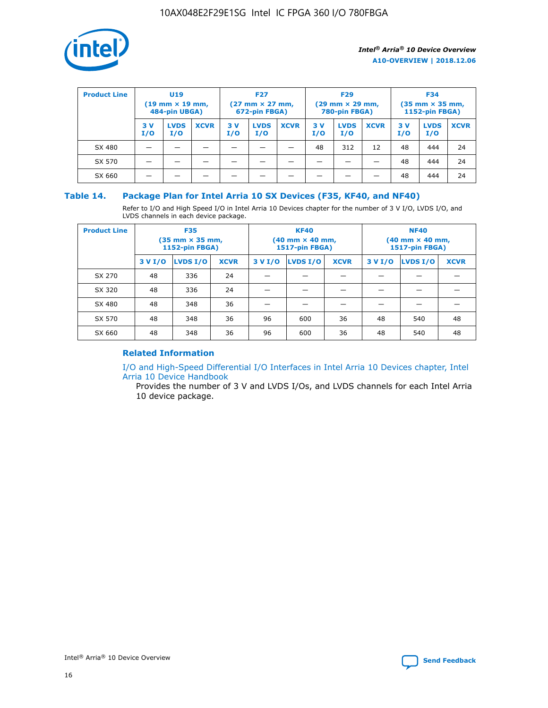

| <b>Product Line</b> | U <sub>19</sub><br>$(19 \text{ mm} \times 19 \text{ mm})$<br>484-pin UBGA) |                    | <b>F27</b><br>$(27 \text{ mm} \times 27 \text{ mm})$<br>672-pin FBGA) |           | <b>F29</b><br>$(29 \text{ mm} \times 29 \text{ mm})$<br>780-pin FBGA) |             |           | <b>F34</b><br>$(35$ mm $\times$ 35 mm,<br><b>1152-pin FBGA)</b> |             |           |                    |             |
|---------------------|----------------------------------------------------------------------------|--------------------|-----------------------------------------------------------------------|-----------|-----------------------------------------------------------------------|-------------|-----------|-----------------------------------------------------------------|-------------|-----------|--------------------|-------------|
|                     | 3V<br>I/O                                                                  | <b>LVDS</b><br>I/O | <b>XCVR</b>                                                           | 3V<br>I/O | <b>LVDS</b><br>I/O                                                    | <b>XCVR</b> | 3V<br>I/O | <b>LVDS</b><br>I/O                                              | <b>XCVR</b> | 3V<br>I/O | <b>LVDS</b><br>I/O | <b>XCVR</b> |
| SX 480              |                                                                            |                    |                                                                       |           |                                                                       |             | 48        | 312                                                             | 12          | 48        | 444                | 24          |
| SX 570              |                                                                            |                    |                                                                       |           |                                                                       |             |           |                                                                 |             | 48        | 444                | 24          |
| SX 660              |                                                                            |                    |                                                                       |           |                                                                       |             |           |                                                                 |             | 48        | 444                | 24          |

#### **Table 14. Package Plan for Intel Arria 10 SX Devices (F35, KF40, and NF40)**

Refer to I/O and High Speed I/O in Intel Arria 10 Devices chapter for the number of 3 V I/O, LVDS I/O, and LVDS channels in each device package.

| <b>Product Line</b> | <b>F35</b><br>$(35 \text{ mm} \times 35 \text{ mm})$<br><b>1152-pin FBGA)</b> |          |             |                                           | <b>KF40</b><br>(40 mm × 40 mm,<br>1517-pin FBGA) |    | <b>NF40</b><br>$(40 \text{ mm} \times 40 \text{ mm})$<br>1517-pin FBGA) |          |             |  |
|---------------------|-------------------------------------------------------------------------------|----------|-------------|-------------------------------------------|--------------------------------------------------|----|-------------------------------------------------------------------------|----------|-------------|--|
|                     | 3 V I/O                                                                       | LVDS I/O | <b>XCVR</b> | <b>LVDS I/O</b><br><b>XCVR</b><br>3 V I/O |                                                  |    | 3 V I/O                                                                 | LVDS I/O | <b>XCVR</b> |  |
| SX 270              | 48                                                                            | 336      | 24          |                                           |                                                  |    |                                                                         |          |             |  |
| SX 320              | 48                                                                            | 336      | 24          |                                           |                                                  |    |                                                                         |          |             |  |
| SX 480              | 48                                                                            | 348      | 36          |                                           |                                                  |    |                                                                         |          |             |  |
| SX 570              | 48                                                                            | 348      | 36          | 96                                        | 600                                              | 36 | 48                                                                      | 540      | 48          |  |
| SX 660              | 48                                                                            | 348      | 36          | 96                                        | 600                                              | 36 | 48                                                                      | 540      | 48          |  |

#### **Related Information**

[I/O and High-Speed Differential I/O Interfaces in Intel Arria 10 Devices chapter, Intel](https://www.intel.com/content/www/us/en/programmable/documentation/sam1403482614086.html#sam1403482030321) [Arria 10 Device Handbook](https://www.intel.com/content/www/us/en/programmable/documentation/sam1403482614086.html#sam1403482030321)

Provides the number of 3 V and LVDS I/Os, and LVDS channels for each Intel Arria 10 device package.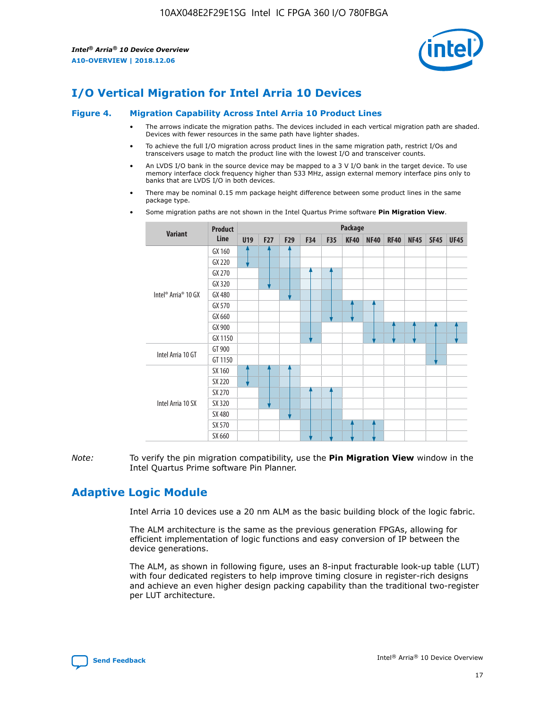

## **I/O Vertical Migration for Intel Arria 10 Devices**

#### **Figure 4. Migration Capability Across Intel Arria 10 Product Lines**

- The arrows indicate the migration paths. The devices included in each vertical migration path are shaded. Devices with fewer resources in the same path have lighter shades.
- To achieve the full I/O migration across product lines in the same migration path, restrict I/Os and transceivers usage to match the product line with the lowest I/O and transceiver counts.
- An LVDS I/O bank in the source device may be mapped to a 3 V I/O bank in the target device. To use memory interface clock frequency higher than 533 MHz, assign external memory interface pins only to banks that are LVDS I/O in both devices.
- There may be nominal 0.15 mm package height difference between some product lines in the same package type.
	- **Variant Product Line Package U19 F27 F29 F34 F35 KF40 NF40 RF40 NF45 SF45 UF45** Intel® Arria® 10 GX GX 160 GX 220 GX 270 GX 320 GX 480 GX 570 GX 660 GX 900 GX 1150 Intel Arria 10 GT GT 900 GT 1150 Intel Arria 10 SX SX 160 SX 220 SX 270 SX 320 SX 480 SX 570 SX 660
- Some migration paths are not shown in the Intel Quartus Prime software **Pin Migration View**.

*Note:* To verify the pin migration compatibility, use the **Pin Migration View** window in the Intel Quartus Prime software Pin Planner.

## **Adaptive Logic Module**

Intel Arria 10 devices use a 20 nm ALM as the basic building block of the logic fabric.

The ALM architecture is the same as the previous generation FPGAs, allowing for efficient implementation of logic functions and easy conversion of IP between the device generations.

The ALM, as shown in following figure, uses an 8-input fracturable look-up table (LUT) with four dedicated registers to help improve timing closure in register-rich designs and achieve an even higher design packing capability than the traditional two-register per LUT architecture.

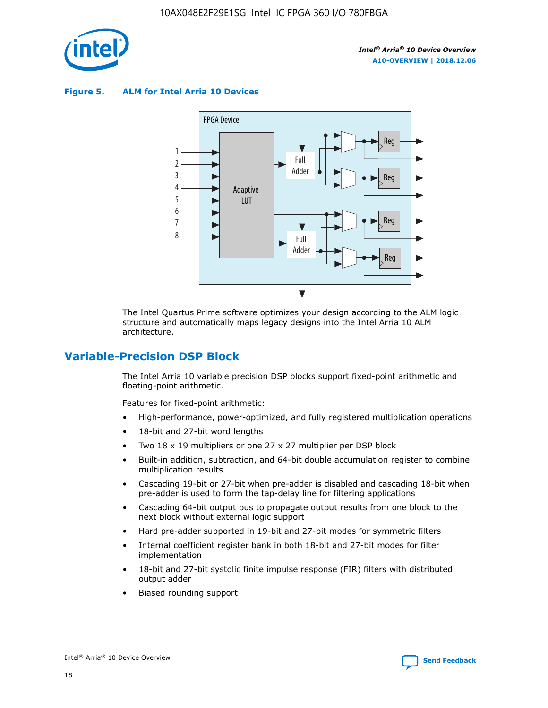

**Figure 5. ALM for Intel Arria 10 Devices**



The Intel Quartus Prime software optimizes your design according to the ALM logic structure and automatically maps legacy designs into the Intel Arria 10 ALM architecture.

## **Variable-Precision DSP Block**

The Intel Arria 10 variable precision DSP blocks support fixed-point arithmetic and floating-point arithmetic.

Features for fixed-point arithmetic:

- High-performance, power-optimized, and fully registered multiplication operations
- 18-bit and 27-bit word lengths
- Two 18 x 19 multipliers or one 27 x 27 multiplier per DSP block
- Built-in addition, subtraction, and 64-bit double accumulation register to combine multiplication results
- Cascading 19-bit or 27-bit when pre-adder is disabled and cascading 18-bit when pre-adder is used to form the tap-delay line for filtering applications
- Cascading 64-bit output bus to propagate output results from one block to the next block without external logic support
- Hard pre-adder supported in 19-bit and 27-bit modes for symmetric filters
- Internal coefficient register bank in both 18-bit and 27-bit modes for filter implementation
- 18-bit and 27-bit systolic finite impulse response (FIR) filters with distributed output adder
- Biased rounding support

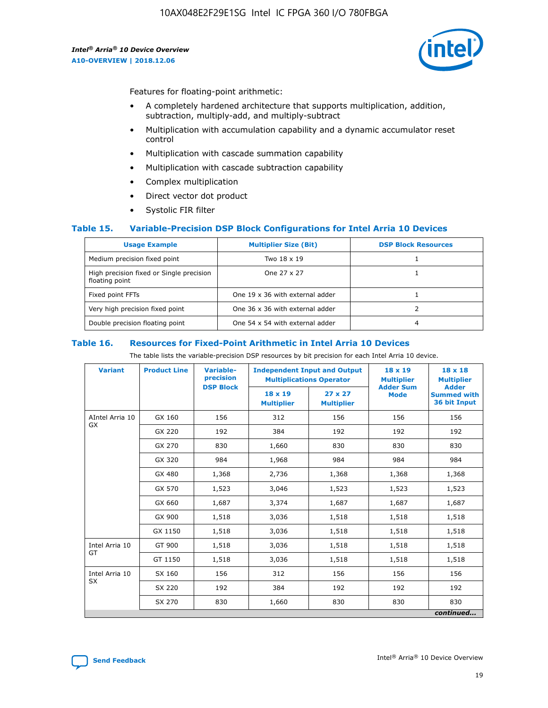

Features for floating-point arithmetic:

- A completely hardened architecture that supports multiplication, addition, subtraction, multiply-add, and multiply-subtract
- Multiplication with accumulation capability and a dynamic accumulator reset control
- Multiplication with cascade summation capability
- Multiplication with cascade subtraction capability
- Complex multiplication
- Direct vector dot product
- Systolic FIR filter

#### **Table 15. Variable-Precision DSP Block Configurations for Intel Arria 10 Devices**

| <b>Usage Example</b>                                       | <b>Multiplier Size (Bit)</b>    | <b>DSP Block Resources</b> |
|------------------------------------------------------------|---------------------------------|----------------------------|
| Medium precision fixed point                               | Two 18 x 19                     |                            |
| High precision fixed or Single precision<br>floating point | One 27 x 27                     |                            |
| Fixed point FFTs                                           | One 19 x 36 with external adder |                            |
| Very high precision fixed point                            | One 36 x 36 with external adder |                            |
| Double precision floating point                            | One 54 x 54 with external adder | 4                          |

#### **Table 16. Resources for Fixed-Point Arithmetic in Intel Arria 10 Devices**

The table lists the variable-precision DSP resources by bit precision for each Intel Arria 10 device.

| <b>Variant</b>  | <b>Product Line</b> | Variable-<br>precision<br><b>DSP Block</b> | <b>Independent Input and Output</b><br><b>Multiplications Operator</b> |                                     | 18 x 19<br><b>Multiplier</b><br><b>Adder Sum</b> | $18 \times 18$<br><b>Multiplier</b><br><b>Adder</b> |
|-----------------|---------------------|--------------------------------------------|------------------------------------------------------------------------|-------------------------------------|--------------------------------------------------|-----------------------------------------------------|
|                 |                     |                                            | 18 x 19<br><b>Multiplier</b>                                           | $27 \times 27$<br><b>Multiplier</b> | <b>Mode</b>                                      | <b>Summed with</b><br>36 bit Input                  |
| AIntel Arria 10 | GX 160              | 156                                        | 312                                                                    | 156                                 | 156                                              | 156                                                 |
| GX              | GX 220              | 192                                        | 384                                                                    | 192                                 | 192                                              | 192                                                 |
|                 | GX 270              | 830                                        | 1,660                                                                  | 830                                 | 830                                              | 830                                                 |
|                 | GX 320              | 984                                        | 1,968                                                                  | 984                                 | 984                                              | 984                                                 |
|                 | GX 480              | 1,368                                      | 2,736                                                                  | 1,368                               | 1,368                                            | 1,368                                               |
|                 | GX 570              | 1,523                                      | 3,046                                                                  | 1,523                               | 1,523                                            | 1,523                                               |
|                 | GX 660              | 1,687                                      | 3,374                                                                  | 1,687                               | 1,687                                            | 1,687                                               |
|                 | GX 900              | 1,518                                      | 3,036                                                                  | 1,518                               | 1,518                                            | 1,518                                               |
|                 | GX 1150             | 1,518                                      | 3,036                                                                  | 1,518                               | 1,518                                            | 1,518                                               |
| Intel Arria 10  | GT 900              | 1,518                                      | 3,036                                                                  | 1,518                               | 1,518                                            | 1,518                                               |
| GT              | GT 1150             | 1,518                                      | 3,036                                                                  | 1,518                               | 1,518                                            | 1,518                                               |
| Intel Arria 10  | SX 160              | 156                                        | 312                                                                    | 156                                 | 156                                              | 156                                                 |
| <b>SX</b>       | SX 220<br>192       |                                            | 384                                                                    | 192                                 | 192                                              | 192                                                 |
|                 | SX 270              | 830                                        | 1,660                                                                  | 830                                 | 830                                              | 830                                                 |
|                 |                     |                                            |                                                                        |                                     |                                                  | continued                                           |

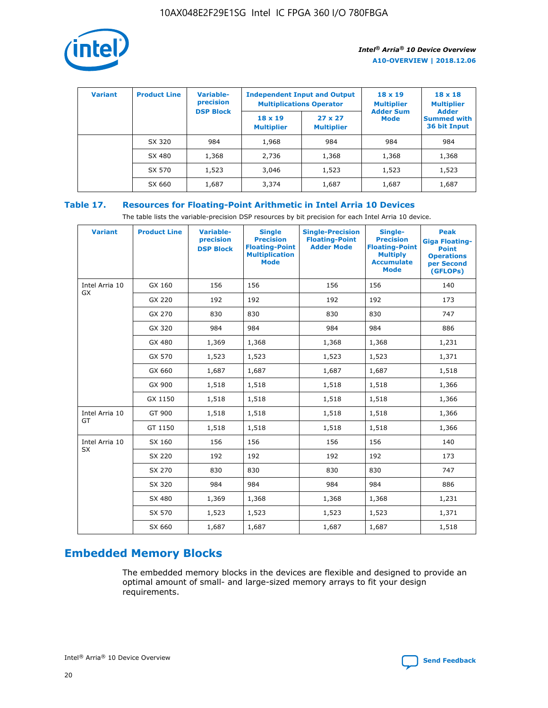

| <b>Variant</b> | <b>Product Line</b> | Variable-<br>precision | <b>Independent Input and Output</b><br><b>Multiplications Operator</b> |                                     | $18 \times 19$<br><b>Multiplier</b> | $18 \times 18$<br><b>Multiplier</b><br><b>Adder</b> |  |
|----------------|---------------------|------------------------|------------------------------------------------------------------------|-------------------------------------|-------------------------------------|-----------------------------------------------------|--|
|                |                     | <b>DSP Block</b>       | $18 \times 19$<br><b>Multiplier</b>                                    | $27 \times 27$<br><b>Multiplier</b> | <b>Adder Sum</b><br><b>Mode</b>     | <b>Summed with</b><br>36 bit Input                  |  |
|                | SX 320              | 984                    | 1,968                                                                  | 984                                 | 984                                 | 984                                                 |  |
|                | SX 480              | 1,368                  | 2,736                                                                  | 1,368                               | 1,368                               | 1,368                                               |  |
|                | SX 570              | 1,523                  | 3,046                                                                  | 1,523                               | 1,523                               | 1,523                                               |  |
|                | SX 660              | 1,687                  | 3,374                                                                  | 1,687                               | 1,687                               | 1,687                                               |  |

## **Table 17. Resources for Floating-Point Arithmetic in Intel Arria 10 Devices**

The table lists the variable-precision DSP resources by bit precision for each Intel Arria 10 device.

| <b>Variant</b> | <b>Product Line</b> | <b>Variable-</b><br>precision<br><b>DSP Block</b> | <b>Single</b><br><b>Precision</b><br><b>Floating-Point</b><br><b>Multiplication</b><br><b>Mode</b> | <b>Single-Precision</b><br><b>Floating-Point</b><br><b>Adder Mode</b> | Single-<br><b>Precision</b><br><b>Floating-Point</b><br><b>Multiply</b><br><b>Accumulate</b><br><b>Mode</b> | <b>Peak</b><br><b>Giga Floating-</b><br><b>Point</b><br><b>Operations</b><br>per Second<br>(GFLOPs) |
|----------------|---------------------|---------------------------------------------------|----------------------------------------------------------------------------------------------------|-----------------------------------------------------------------------|-------------------------------------------------------------------------------------------------------------|-----------------------------------------------------------------------------------------------------|
| Intel Arria 10 | GX 160              | 156                                               | 156                                                                                                | 156                                                                   | 156                                                                                                         | 140                                                                                                 |
| GX             | GX 220              | 192                                               | 192                                                                                                | 192                                                                   | 192                                                                                                         | 173                                                                                                 |
|                | GX 270              | 830                                               | 830                                                                                                | 830                                                                   | 830                                                                                                         | 747                                                                                                 |
|                | GX 320              | 984                                               | 984                                                                                                | 984                                                                   | 984                                                                                                         | 886                                                                                                 |
|                | GX 480              | 1,369                                             | 1,368                                                                                              | 1,368                                                                 | 1,368                                                                                                       | 1,231                                                                                               |
|                | GX 570              | 1,523                                             | 1,523                                                                                              | 1,523                                                                 | 1,523                                                                                                       | 1,371                                                                                               |
|                | GX 660              | 1,687                                             | 1,687                                                                                              | 1,687                                                                 | 1,687                                                                                                       | 1,518                                                                                               |
|                | GX 900              | 1,518                                             | 1,518                                                                                              | 1,518                                                                 | 1,518                                                                                                       | 1,366                                                                                               |
|                | GX 1150             | 1,518                                             | 1,518                                                                                              | 1,518                                                                 | 1,518                                                                                                       | 1,366                                                                                               |
| Intel Arria 10 | GT 900              | 1,518                                             | 1,518                                                                                              | 1,518                                                                 | 1,518                                                                                                       | 1,366                                                                                               |
| GT             | GT 1150             | 1,518                                             | 1,518                                                                                              | 1,518                                                                 | 1,518                                                                                                       | 1,366                                                                                               |
| Intel Arria 10 | SX 160              | 156                                               | 156                                                                                                | 156                                                                   | 156                                                                                                         | 140                                                                                                 |
| <b>SX</b>      | SX 220              | 192                                               | 192                                                                                                | 192                                                                   | 192                                                                                                         | 173                                                                                                 |
|                | SX 270              | 830                                               | 830                                                                                                | 830                                                                   | 830                                                                                                         | 747                                                                                                 |
|                | SX 320              | 984                                               | 984                                                                                                | 984                                                                   | 984                                                                                                         | 886                                                                                                 |
|                | SX 480              | 1,369                                             | 1,368                                                                                              | 1,368                                                                 | 1,368                                                                                                       | 1,231                                                                                               |
|                | SX 570              | 1,523                                             | 1,523                                                                                              | 1,523                                                                 | 1,523                                                                                                       | 1,371                                                                                               |
|                | SX 660              | 1,687                                             | 1,687                                                                                              | 1,687                                                                 | 1,687                                                                                                       | 1,518                                                                                               |

## **Embedded Memory Blocks**

The embedded memory blocks in the devices are flexible and designed to provide an optimal amount of small- and large-sized memory arrays to fit your design requirements.

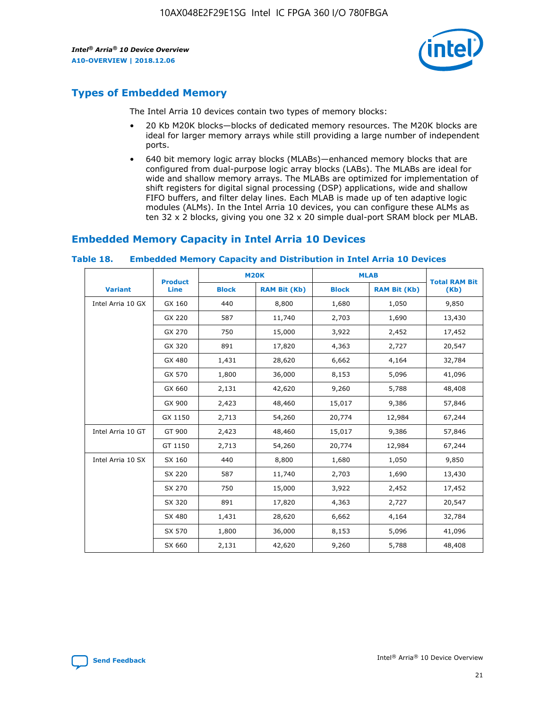

## **Types of Embedded Memory**

The Intel Arria 10 devices contain two types of memory blocks:

- 20 Kb M20K blocks—blocks of dedicated memory resources. The M20K blocks are ideal for larger memory arrays while still providing a large number of independent ports.
- 640 bit memory logic array blocks (MLABs)—enhanced memory blocks that are configured from dual-purpose logic array blocks (LABs). The MLABs are ideal for wide and shallow memory arrays. The MLABs are optimized for implementation of shift registers for digital signal processing (DSP) applications, wide and shallow FIFO buffers, and filter delay lines. Each MLAB is made up of ten adaptive logic modules (ALMs). In the Intel Arria 10 devices, you can configure these ALMs as ten 32 x 2 blocks, giving you one 32 x 20 simple dual-port SRAM block per MLAB.

## **Embedded Memory Capacity in Intel Arria 10 Devices**

|                   | <b>Product</b> | <b>M20K</b>  |                     | <b>MLAB</b>  |                     | <b>Total RAM Bit</b> |
|-------------------|----------------|--------------|---------------------|--------------|---------------------|----------------------|
| <b>Variant</b>    | <b>Line</b>    | <b>Block</b> | <b>RAM Bit (Kb)</b> | <b>Block</b> | <b>RAM Bit (Kb)</b> | (Kb)                 |
| Intel Arria 10 GX | GX 160         | 440          | 8,800               | 1,680        | 1,050               | 9,850                |
|                   | GX 220         | 587          | 11,740              | 2,703        | 1,690               | 13,430               |
|                   | GX 270         | 750          | 15,000              | 3,922        | 2,452               | 17,452               |
|                   | GX 320         | 891          | 17,820              | 4,363        | 2,727               | 20,547               |
|                   | GX 480         | 1,431        | 28,620              | 6,662        | 4,164               | 32,784               |
|                   | GX 570         | 1,800        | 36,000              | 8,153        | 5,096               | 41,096               |
|                   | GX 660         | 2,131        | 42,620              | 9,260        | 5,788               | 48,408               |
|                   | GX 900         | 2,423        | 48,460              | 15,017       | 9,386               | 57,846               |
|                   | GX 1150        | 2,713        | 54,260              | 20,774       | 12,984              | 67,244               |
| Intel Arria 10 GT | GT 900         | 2,423        | 48,460              | 15,017       | 9,386               | 57,846               |
|                   | GT 1150        | 2,713        | 54,260              | 20,774       | 12,984              | 67,244               |
| Intel Arria 10 SX | SX 160         | 440          | 8,800               | 1,680        | 1,050               | 9,850                |
|                   | SX 220         | 587          | 11,740              | 2,703        | 1,690               | 13,430               |
|                   | SX 270         | 750          | 15,000              | 3,922        | 2,452               | 17,452               |
|                   | SX 320         | 891          | 17,820              | 4,363        | 2,727               | 20,547               |
|                   | SX 480         | 1,431        | 28,620              | 6,662        | 4,164               | 32,784               |
|                   | SX 570         | 1,800        | 36,000              | 8,153        | 5,096               | 41,096               |
|                   | SX 660         | 2,131        | 42,620              | 9,260        | 5,788               | 48,408               |

#### **Table 18. Embedded Memory Capacity and Distribution in Intel Arria 10 Devices**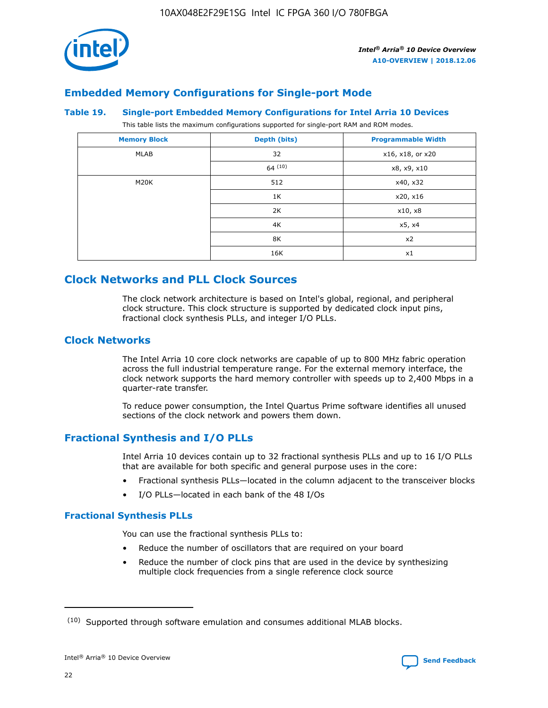

## **Embedded Memory Configurations for Single-port Mode**

#### **Table 19. Single-port Embedded Memory Configurations for Intel Arria 10 Devices**

This table lists the maximum configurations supported for single-port RAM and ROM modes.

| <b>Memory Block</b> | Depth (bits) | <b>Programmable Width</b> |
|---------------------|--------------|---------------------------|
| MLAB                | 32           | x16, x18, or x20          |
|                     | 64(10)       | x8, x9, x10               |
| M20K                | 512          | x40, x32                  |
|                     | 1K           | x20, x16                  |
|                     | 2K           | x10, x8                   |
|                     | 4K           | x5, x4                    |
|                     | 8K           | x2                        |
|                     | 16K          | x1                        |

## **Clock Networks and PLL Clock Sources**

The clock network architecture is based on Intel's global, regional, and peripheral clock structure. This clock structure is supported by dedicated clock input pins, fractional clock synthesis PLLs, and integer I/O PLLs.

#### **Clock Networks**

The Intel Arria 10 core clock networks are capable of up to 800 MHz fabric operation across the full industrial temperature range. For the external memory interface, the clock network supports the hard memory controller with speeds up to 2,400 Mbps in a quarter-rate transfer.

To reduce power consumption, the Intel Quartus Prime software identifies all unused sections of the clock network and powers them down.

## **Fractional Synthesis and I/O PLLs**

Intel Arria 10 devices contain up to 32 fractional synthesis PLLs and up to 16 I/O PLLs that are available for both specific and general purpose uses in the core:

- Fractional synthesis PLLs—located in the column adjacent to the transceiver blocks
- I/O PLLs—located in each bank of the 48 I/Os

#### **Fractional Synthesis PLLs**

You can use the fractional synthesis PLLs to:

- Reduce the number of oscillators that are required on your board
- Reduce the number of clock pins that are used in the device by synthesizing multiple clock frequencies from a single reference clock source

<sup>(10)</sup> Supported through software emulation and consumes additional MLAB blocks.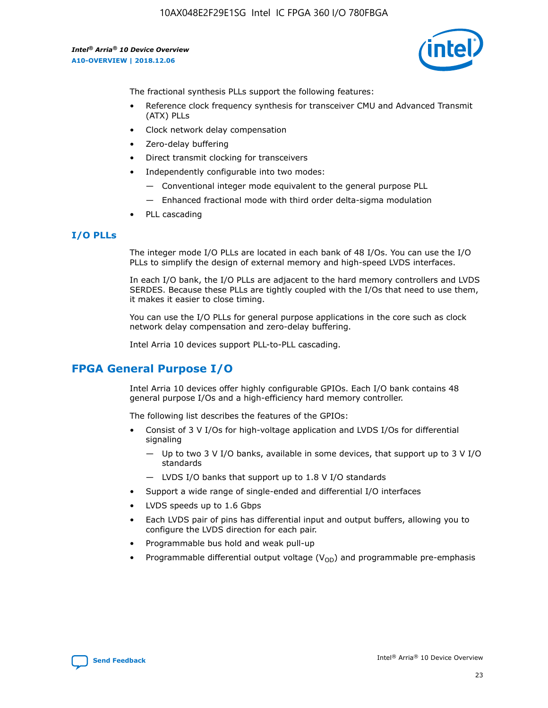

The fractional synthesis PLLs support the following features:

- Reference clock frequency synthesis for transceiver CMU and Advanced Transmit (ATX) PLLs
- Clock network delay compensation
- Zero-delay buffering
- Direct transmit clocking for transceivers
- Independently configurable into two modes:
	- Conventional integer mode equivalent to the general purpose PLL
	- Enhanced fractional mode with third order delta-sigma modulation
- PLL cascading

#### **I/O PLLs**

The integer mode I/O PLLs are located in each bank of 48 I/Os. You can use the I/O PLLs to simplify the design of external memory and high-speed LVDS interfaces.

In each I/O bank, the I/O PLLs are adjacent to the hard memory controllers and LVDS SERDES. Because these PLLs are tightly coupled with the I/Os that need to use them, it makes it easier to close timing.

You can use the I/O PLLs for general purpose applications in the core such as clock network delay compensation and zero-delay buffering.

Intel Arria 10 devices support PLL-to-PLL cascading.

## **FPGA General Purpose I/O**

Intel Arria 10 devices offer highly configurable GPIOs. Each I/O bank contains 48 general purpose I/Os and a high-efficiency hard memory controller.

The following list describes the features of the GPIOs:

- Consist of 3 V I/Os for high-voltage application and LVDS I/Os for differential signaling
	- Up to two 3 V I/O banks, available in some devices, that support up to 3 V I/O standards
	- LVDS I/O banks that support up to 1.8 V I/O standards
- Support a wide range of single-ended and differential I/O interfaces
- LVDS speeds up to 1.6 Gbps
- Each LVDS pair of pins has differential input and output buffers, allowing you to configure the LVDS direction for each pair.
- Programmable bus hold and weak pull-up
- Programmable differential output voltage  $(V_{OD})$  and programmable pre-emphasis

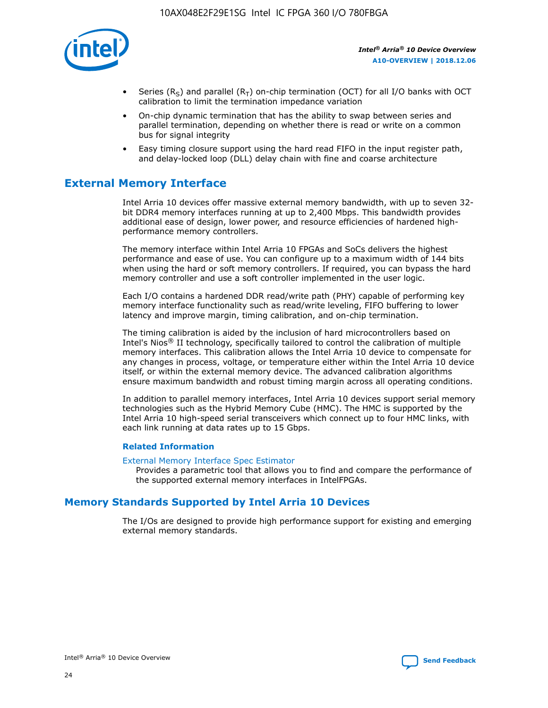

- Series (R<sub>S</sub>) and parallel (R<sub>T</sub>) on-chip termination (OCT) for all I/O banks with OCT calibration to limit the termination impedance variation
- On-chip dynamic termination that has the ability to swap between series and parallel termination, depending on whether there is read or write on a common bus for signal integrity
- Easy timing closure support using the hard read FIFO in the input register path, and delay-locked loop (DLL) delay chain with fine and coarse architecture

## **External Memory Interface**

Intel Arria 10 devices offer massive external memory bandwidth, with up to seven 32 bit DDR4 memory interfaces running at up to 2,400 Mbps. This bandwidth provides additional ease of design, lower power, and resource efficiencies of hardened highperformance memory controllers.

The memory interface within Intel Arria 10 FPGAs and SoCs delivers the highest performance and ease of use. You can configure up to a maximum width of 144 bits when using the hard or soft memory controllers. If required, you can bypass the hard memory controller and use a soft controller implemented in the user logic.

Each I/O contains a hardened DDR read/write path (PHY) capable of performing key memory interface functionality such as read/write leveling, FIFO buffering to lower latency and improve margin, timing calibration, and on-chip termination.

The timing calibration is aided by the inclusion of hard microcontrollers based on Intel's Nios® II technology, specifically tailored to control the calibration of multiple memory interfaces. This calibration allows the Intel Arria 10 device to compensate for any changes in process, voltage, or temperature either within the Intel Arria 10 device itself, or within the external memory device. The advanced calibration algorithms ensure maximum bandwidth and robust timing margin across all operating conditions.

In addition to parallel memory interfaces, Intel Arria 10 devices support serial memory technologies such as the Hybrid Memory Cube (HMC). The HMC is supported by the Intel Arria 10 high-speed serial transceivers which connect up to four HMC links, with each link running at data rates up to 15 Gbps.

#### **Related Information**

#### [External Memory Interface Spec Estimator](http://www.altera.com/technology/memory/estimator/mem-emif-index.html)

Provides a parametric tool that allows you to find and compare the performance of the supported external memory interfaces in IntelFPGAs.

## **Memory Standards Supported by Intel Arria 10 Devices**

The I/Os are designed to provide high performance support for existing and emerging external memory standards.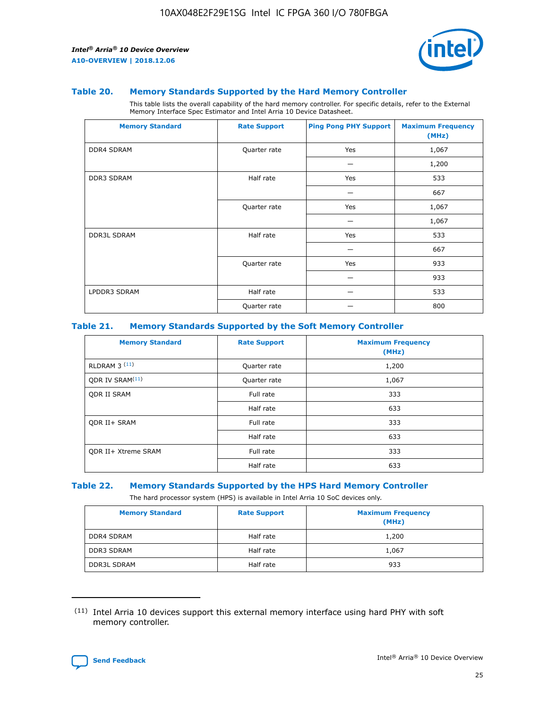

#### **Table 20. Memory Standards Supported by the Hard Memory Controller**

This table lists the overall capability of the hard memory controller. For specific details, refer to the External Memory Interface Spec Estimator and Intel Arria 10 Device Datasheet.

| <b>Memory Standard</b> | <b>Rate Support</b> | <b>Ping Pong PHY Support</b> | <b>Maximum Frequency</b><br>(MHz) |
|------------------------|---------------------|------------------------------|-----------------------------------|
| <b>DDR4 SDRAM</b>      | Quarter rate        | Yes                          | 1,067                             |
|                        |                     |                              | 1,200                             |
| DDR3 SDRAM             | Half rate           | Yes                          | 533                               |
|                        |                     |                              | 667                               |
|                        | Quarter rate        | Yes                          | 1,067                             |
|                        |                     |                              | 1,067                             |
| <b>DDR3L SDRAM</b>     | Half rate           | Yes                          | 533                               |
|                        |                     |                              | 667                               |
|                        | Quarter rate        | Yes                          | 933                               |
|                        |                     |                              | 933                               |
| LPDDR3 SDRAM           | Half rate           |                              | 533                               |
|                        | Quarter rate        |                              | 800                               |

#### **Table 21. Memory Standards Supported by the Soft Memory Controller**

| <b>Memory Standard</b>      | <b>Rate Support</b> | <b>Maximum Frequency</b><br>(MHz) |
|-----------------------------|---------------------|-----------------------------------|
| <b>RLDRAM 3 (11)</b>        | Quarter rate        | 1,200                             |
| ODR IV SRAM <sup>(11)</sup> | Quarter rate        | 1,067                             |
| <b>ODR II SRAM</b>          | Full rate           | 333                               |
|                             | Half rate           | 633                               |
| <b>ODR II+ SRAM</b>         | Full rate           | 333                               |
|                             | Half rate           | 633                               |
| <b>ODR II+ Xtreme SRAM</b>  | Full rate           | 333                               |
|                             | Half rate           | 633                               |

#### **Table 22. Memory Standards Supported by the HPS Hard Memory Controller**

The hard processor system (HPS) is available in Intel Arria 10 SoC devices only.

| <b>Memory Standard</b> | <b>Rate Support</b> | <b>Maximum Frequency</b><br>(MHz) |
|------------------------|---------------------|-----------------------------------|
| <b>DDR4 SDRAM</b>      | Half rate           | 1,200                             |
| <b>DDR3 SDRAM</b>      | Half rate           | 1,067                             |
| <b>DDR3L SDRAM</b>     | Half rate           | 933                               |

<sup>(11)</sup> Intel Arria 10 devices support this external memory interface using hard PHY with soft memory controller.

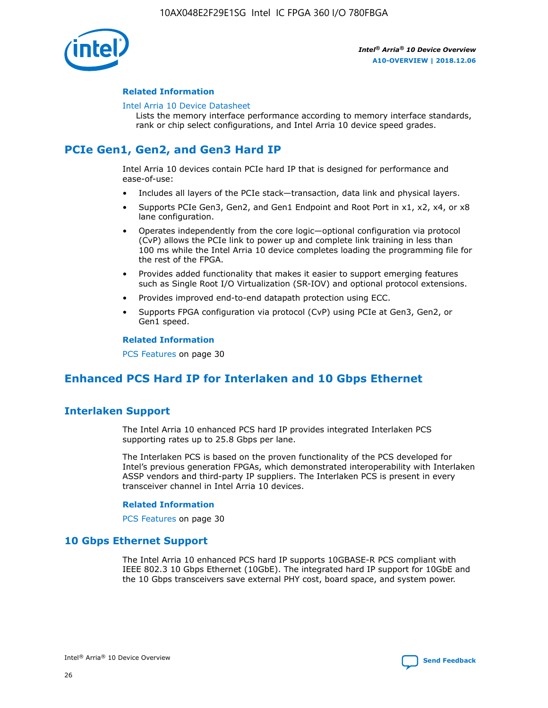

#### **Related Information**

#### [Intel Arria 10 Device Datasheet](https://www.intel.com/content/www/us/en/programmable/documentation/mcn1413182292568.html#mcn1413182153340)

Lists the memory interface performance according to memory interface standards, rank or chip select configurations, and Intel Arria 10 device speed grades.

## **PCIe Gen1, Gen2, and Gen3 Hard IP**

Intel Arria 10 devices contain PCIe hard IP that is designed for performance and ease-of-use:

- Includes all layers of the PCIe stack—transaction, data link and physical layers.
- Supports PCIe Gen3, Gen2, and Gen1 Endpoint and Root Port in x1, x2, x4, or x8 lane configuration.
- Operates independently from the core logic—optional configuration via protocol (CvP) allows the PCIe link to power up and complete link training in less than 100 ms while the Intel Arria 10 device completes loading the programming file for the rest of the FPGA.
- Provides added functionality that makes it easier to support emerging features such as Single Root I/O Virtualization (SR-IOV) and optional protocol extensions.
- Provides improved end-to-end datapath protection using ECC.
- Supports FPGA configuration via protocol (CvP) using PCIe at Gen3, Gen2, or Gen1 speed.

#### **Related Information**

PCS Features on page 30

## **Enhanced PCS Hard IP for Interlaken and 10 Gbps Ethernet**

## **Interlaken Support**

The Intel Arria 10 enhanced PCS hard IP provides integrated Interlaken PCS supporting rates up to 25.8 Gbps per lane.

The Interlaken PCS is based on the proven functionality of the PCS developed for Intel's previous generation FPGAs, which demonstrated interoperability with Interlaken ASSP vendors and third-party IP suppliers. The Interlaken PCS is present in every transceiver channel in Intel Arria 10 devices.

#### **Related Information**

PCS Features on page 30

#### **10 Gbps Ethernet Support**

The Intel Arria 10 enhanced PCS hard IP supports 10GBASE-R PCS compliant with IEEE 802.3 10 Gbps Ethernet (10GbE). The integrated hard IP support for 10GbE and the 10 Gbps transceivers save external PHY cost, board space, and system power.

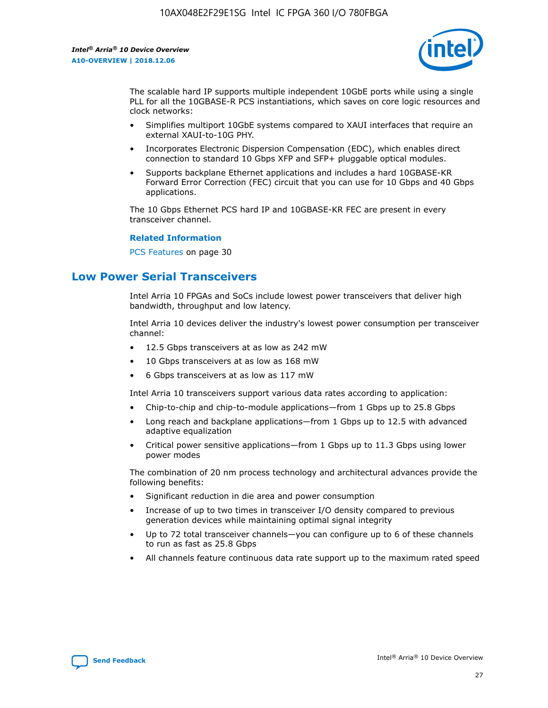

The scalable hard IP supports multiple independent 10GbE ports while using a single PLL for all the 10GBASE-R PCS instantiations, which saves on core logic resources and clock networks:

- Simplifies multiport 10GbE systems compared to XAUI interfaces that require an external XAUI-to-10G PHY.
- Incorporates Electronic Dispersion Compensation (EDC), which enables direct connection to standard 10 Gbps XFP and SFP+ pluggable optical modules.
- Supports backplane Ethernet applications and includes a hard 10GBASE-KR Forward Error Correction (FEC) circuit that you can use for 10 Gbps and 40 Gbps applications.

The 10 Gbps Ethernet PCS hard IP and 10GBASE-KR FEC are present in every transceiver channel.

#### **Related Information**

PCS Features on page 30

## **Low Power Serial Transceivers**

Intel Arria 10 FPGAs and SoCs include lowest power transceivers that deliver high bandwidth, throughput and low latency.

Intel Arria 10 devices deliver the industry's lowest power consumption per transceiver channel:

- 12.5 Gbps transceivers at as low as 242 mW
- 10 Gbps transceivers at as low as 168 mW
- 6 Gbps transceivers at as low as 117 mW

Intel Arria 10 transceivers support various data rates according to application:

- Chip-to-chip and chip-to-module applications—from 1 Gbps up to 25.8 Gbps
- Long reach and backplane applications—from 1 Gbps up to 12.5 with advanced adaptive equalization
- Critical power sensitive applications—from 1 Gbps up to 11.3 Gbps using lower power modes

The combination of 20 nm process technology and architectural advances provide the following benefits:

- Significant reduction in die area and power consumption
- Increase of up to two times in transceiver I/O density compared to previous generation devices while maintaining optimal signal integrity
- Up to 72 total transceiver channels—you can configure up to 6 of these channels to run as fast as 25.8 Gbps
- All channels feature continuous data rate support up to the maximum rated speed

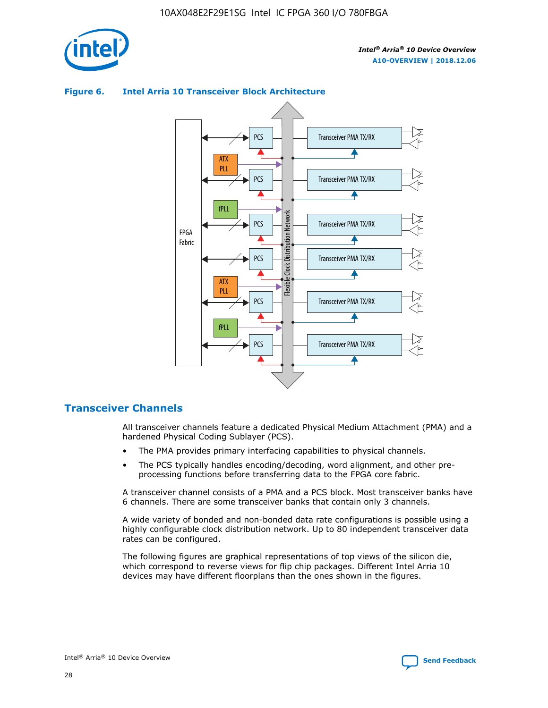

#### Transceiver PMA TX/RX PCS ATX PLL Transceiver PMA TX/RX PCS fPLL Network Flexible Clock Distribution Network PCS Transceiver PMA TX/RX FPGA **Clock Distribution** Fabric PCS Transceiver PMA TX/RX ATX Flexible PLL PCS Transceiver PMA TX/RX ▲ fPLL Transceiver PMA TX/RX PCS 4

#### **Figure 6. Intel Arria 10 Transceiver Block Architecture**

#### **Transceiver Channels**

All transceiver channels feature a dedicated Physical Medium Attachment (PMA) and a hardened Physical Coding Sublayer (PCS).

- The PMA provides primary interfacing capabilities to physical channels.
- The PCS typically handles encoding/decoding, word alignment, and other preprocessing functions before transferring data to the FPGA core fabric.

A transceiver channel consists of a PMA and a PCS block. Most transceiver banks have 6 channels. There are some transceiver banks that contain only 3 channels.

A wide variety of bonded and non-bonded data rate configurations is possible using a highly configurable clock distribution network. Up to 80 independent transceiver data rates can be configured.

The following figures are graphical representations of top views of the silicon die, which correspond to reverse views for flip chip packages. Different Intel Arria 10 devices may have different floorplans than the ones shown in the figures.

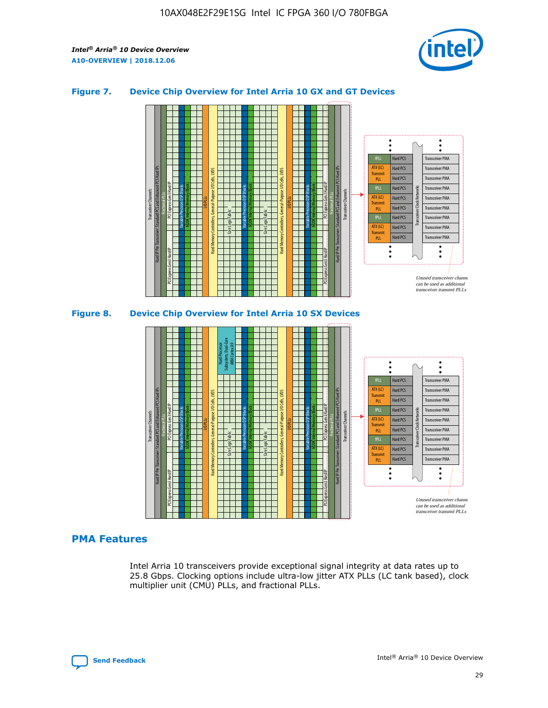

#### **Figure 7. Device Chip Overview for Intel Arria 10 GX and GT Devices**



**Figure 8. Device Chip Overview for Intel Arria 10 SX Devices**



#### **PMA Features**

Intel Arria 10 transceivers provide exceptional signal integrity at data rates up to 25.8 Gbps. Clocking options include ultra-low jitter ATX PLLs (LC tank based), clock multiplier unit (CMU) PLLs, and fractional PLLs.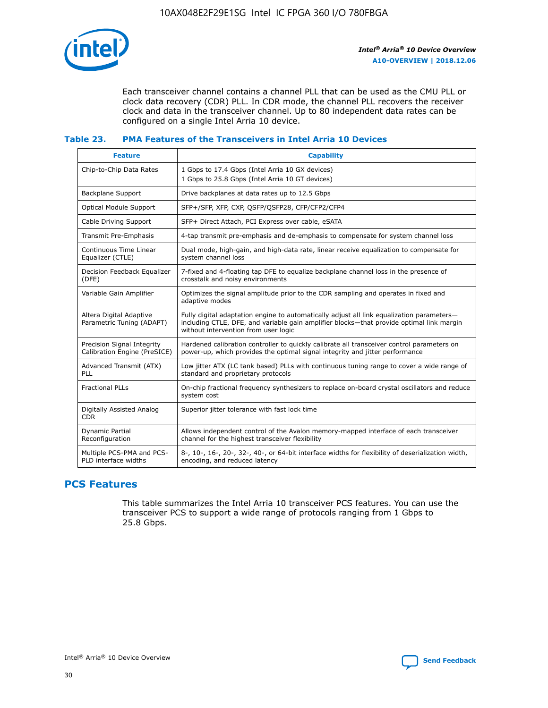

Each transceiver channel contains a channel PLL that can be used as the CMU PLL or clock data recovery (CDR) PLL. In CDR mode, the channel PLL recovers the receiver clock and data in the transceiver channel. Up to 80 independent data rates can be configured on a single Intel Arria 10 device.

#### **Table 23. PMA Features of the Transceivers in Intel Arria 10 Devices**

| <b>Feature</b>                                             | <b>Capability</b>                                                                                                                                                                                                             |
|------------------------------------------------------------|-------------------------------------------------------------------------------------------------------------------------------------------------------------------------------------------------------------------------------|
| Chip-to-Chip Data Rates                                    | 1 Gbps to 17.4 Gbps (Intel Arria 10 GX devices)<br>1 Gbps to 25.8 Gbps (Intel Arria 10 GT devices)                                                                                                                            |
| <b>Backplane Support</b>                                   | Drive backplanes at data rates up to 12.5 Gbps                                                                                                                                                                                |
| <b>Optical Module Support</b>                              | SFP+/SFP, XFP, CXP, QSFP/QSFP28, CFP/CFP2/CFP4                                                                                                                                                                                |
| Cable Driving Support                                      | SFP+ Direct Attach, PCI Express over cable, eSATA                                                                                                                                                                             |
| Transmit Pre-Emphasis                                      | 4-tap transmit pre-emphasis and de-emphasis to compensate for system channel loss                                                                                                                                             |
| Continuous Time Linear<br>Equalizer (CTLE)                 | Dual mode, high-gain, and high-data rate, linear receive equalization to compensate for<br>system channel loss                                                                                                                |
| Decision Feedback Equalizer<br>(DFE)                       | 7-fixed and 4-floating tap DFE to equalize backplane channel loss in the presence of<br>crosstalk and noisy environments                                                                                                      |
| Variable Gain Amplifier                                    | Optimizes the signal amplitude prior to the CDR sampling and operates in fixed and<br>adaptive modes                                                                                                                          |
| Altera Digital Adaptive<br>Parametric Tuning (ADAPT)       | Fully digital adaptation engine to automatically adjust all link equalization parameters-<br>including CTLE, DFE, and variable gain amplifier blocks—that provide optimal link margin<br>without intervention from user logic |
| Precision Signal Integrity<br>Calibration Engine (PreSICE) | Hardened calibration controller to quickly calibrate all transceiver control parameters on<br>power-up, which provides the optimal signal integrity and jitter performance                                                    |
| Advanced Transmit (ATX)<br><b>PLL</b>                      | Low jitter ATX (LC tank based) PLLs with continuous tuning range to cover a wide range of<br>standard and proprietary protocols                                                                                               |
| <b>Fractional PLLs</b>                                     | On-chip fractional frequency synthesizers to replace on-board crystal oscillators and reduce<br>system cost                                                                                                                   |
| Digitally Assisted Analog<br><b>CDR</b>                    | Superior jitter tolerance with fast lock time                                                                                                                                                                                 |
| Dynamic Partial<br>Reconfiguration                         | Allows independent control of the Avalon memory-mapped interface of each transceiver<br>channel for the highest transceiver flexibility                                                                                       |
| Multiple PCS-PMA and PCS-<br>PLD interface widths          | 8-, 10-, 16-, 20-, 32-, 40-, or 64-bit interface widths for flexibility of deserialization width,<br>encoding, and reduced latency                                                                                            |

## **PCS Features**

This table summarizes the Intel Arria 10 transceiver PCS features. You can use the transceiver PCS to support a wide range of protocols ranging from 1 Gbps to 25.8 Gbps.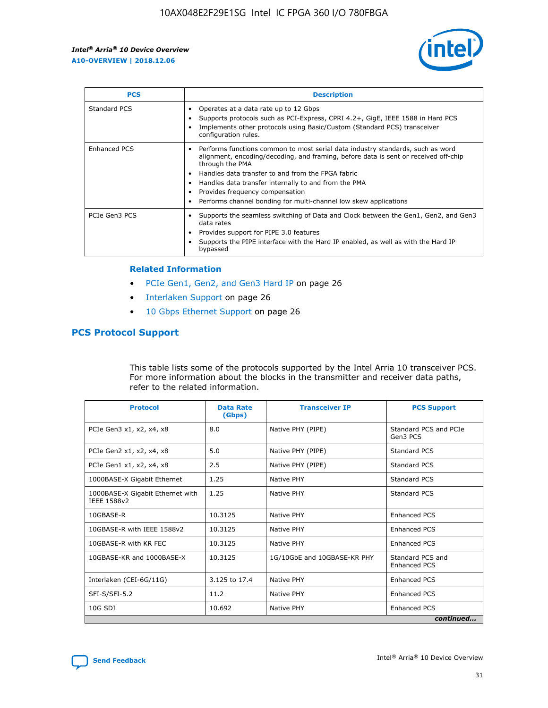

| <b>PCS</b>    | <b>Description</b>                                                                                                                                                                                                                                                                                                                                                                                             |
|---------------|----------------------------------------------------------------------------------------------------------------------------------------------------------------------------------------------------------------------------------------------------------------------------------------------------------------------------------------------------------------------------------------------------------------|
| Standard PCS  | Operates at a data rate up to 12 Gbps<br>Supports protocols such as PCI-Express, CPRI 4.2+, GigE, IEEE 1588 in Hard PCS<br>Implements other protocols using Basic/Custom (Standard PCS) transceiver<br>configuration rules.                                                                                                                                                                                    |
| Enhanced PCS  | Performs functions common to most serial data industry standards, such as word<br>alignment, encoding/decoding, and framing, before data is sent or received off-chip<br>through the PMA<br>• Handles data transfer to and from the FPGA fabric<br>Handles data transfer internally to and from the PMA<br>Provides frequency compensation<br>Performs channel bonding for multi-channel low skew applications |
| PCIe Gen3 PCS | Supports the seamless switching of Data and Clock between the Gen1, Gen2, and Gen3<br>data rates<br>Provides support for PIPE 3.0 features<br>Supports the PIPE interface with the Hard IP enabled, as well as with the Hard IP<br>bypassed                                                                                                                                                                    |

#### **Related Information**

- PCIe Gen1, Gen2, and Gen3 Hard IP on page 26
- Interlaken Support on page 26
- 10 Gbps Ethernet Support on page 26

#### **PCS Protocol Support**

This table lists some of the protocols supported by the Intel Arria 10 transceiver PCS. For more information about the blocks in the transmitter and receiver data paths, refer to the related information.

| <b>Protocol</b>                                 | <b>Data Rate</b><br>(Gbps) | <b>Transceiver IP</b>       | <b>PCS Support</b>                      |
|-------------------------------------------------|----------------------------|-----------------------------|-----------------------------------------|
| PCIe Gen3 x1, x2, x4, x8                        | 8.0                        | Native PHY (PIPE)           | Standard PCS and PCIe<br>Gen3 PCS       |
| PCIe Gen2 x1, x2, x4, x8                        | 5.0                        | Native PHY (PIPE)           | <b>Standard PCS</b>                     |
| PCIe Gen1 x1, x2, x4, x8                        | 2.5                        | Native PHY (PIPE)           | Standard PCS                            |
| 1000BASE-X Gigabit Ethernet                     | 1.25                       | Native PHY                  | <b>Standard PCS</b>                     |
| 1000BASE-X Gigabit Ethernet with<br>IEEE 1588v2 | 1.25                       | Native PHY                  | Standard PCS                            |
| 10GBASE-R                                       | 10.3125                    | Native PHY                  | <b>Enhanced PCS</b>                     |
| 10GBASE-R with IEEE 1588v2                      | 10.3125                    | Native PHY                  | <b>Enhanced PCS</b>                     |
| 10GBASE-R with KR FEC                           | 10.3125                    | Native PHY                  | <b>Enhanced PCS</b>                     |
| 10GBASE-KR and 1000BASE-X                       | 10.3125                    | 1G/10GbE and 10GBASE-KR PHY | Standard PCS and<br><b>Enhanced PCS</b> |
| Interlaken (CEI-6G/11G)                         | 3.125 to 17.4              | Native PHY                  | <b>Enhanced PCS</b>                     |
| SFI-S/SFI-5.2                                   | 11.2                       | Native PHY                  | <b>Enhanced PCS</b>                     |
| $10G$ SDI                                       | 10.692                     | Native PHY                  | <b>Enhanced PCS</b>                     |
|                                                 |                            |                             | continued                               |



**[Send Feedback](mailto:FPGAtechdocfeedback@intel.com?subject=Feedback%20on%20Intel%20Arria%2010%20Device%20Overview%20(A10-OVERVIEW%202018.12.06)&body=We%20appreciate%20your%20feedback.%20In%20your%20comments,%20also%20specify%20the%20page%20number%20or%20paragraph.%20Thank%20you.) Intel®** Arria<sup>®</sup> 10 Device Overview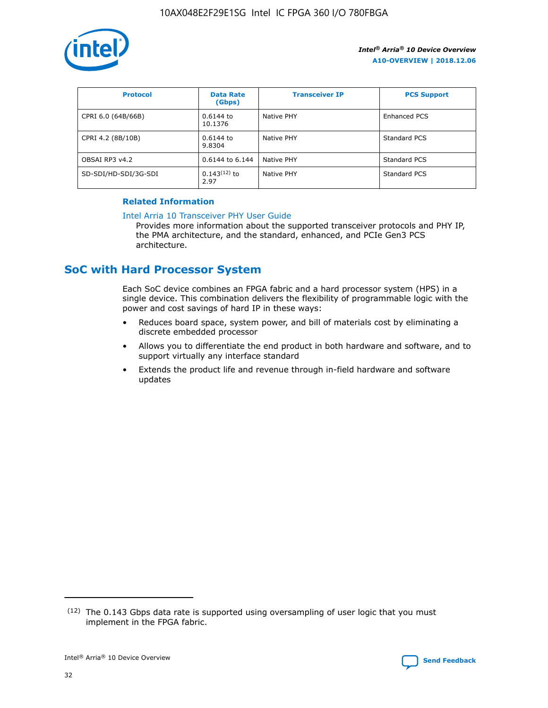

| <b>Protocol</b>      | <b>Data Rate</b><br>(Gbps) | <b>Transceiver IP</b> | <b>PCS Support</b> |
|----------------------|----------------------------|-----------------------|--------------------|
| CPRI 6.0 (64B/66B)   | 0.6144 to<br>10.1376       | Native PHY            | Enhanced PCS       |
| CPRI 4.2 (8B/10B)    | 0.6144 to<br>9.8304        | Native PHY            | Standard PCS       |
| OBSAI RP3 v4.2       | 0.6144 to 6.144            | Native PHY            | Standard PCS       |
| SD-SDI/HD-SDI/3G-SDI | $0.143(12)$ to<br>2.97     | Native PHY            | Standard PCS       |

#### **Related Information**

#### [Intel Arria 10 Transceiver PHY User Guide](https://www.intel.com/content/www/us/en/programmable/documentation/nik1398707230472.html#nik1398707091164)

Provides more information about the supported transceiver protocols and PHY IP, the PMA architecture, and the standard, enhanced, and PCIe Gen3 PCS architecture.

## **SoC with Hard Processor System**

Each SoC device combines an FPGA fabric and a hard processor system (HPS) in a single device. This combination delivers the flexibility of programmable logic with the power and cost savings of hard IP in these ways:

- Reduces board space, system power, and bill of materials cost by eliminating a discrete embedded processor
- Allows you to differentiate the end product in both hardware and software, and to support virtually any interface standard
- Extends the product life and revenue through in-field hardware and software updates

 $(12)$  The 0.143 Gbps data rate is supported using oversampling of user logic that you must implement in the FPGA fabric.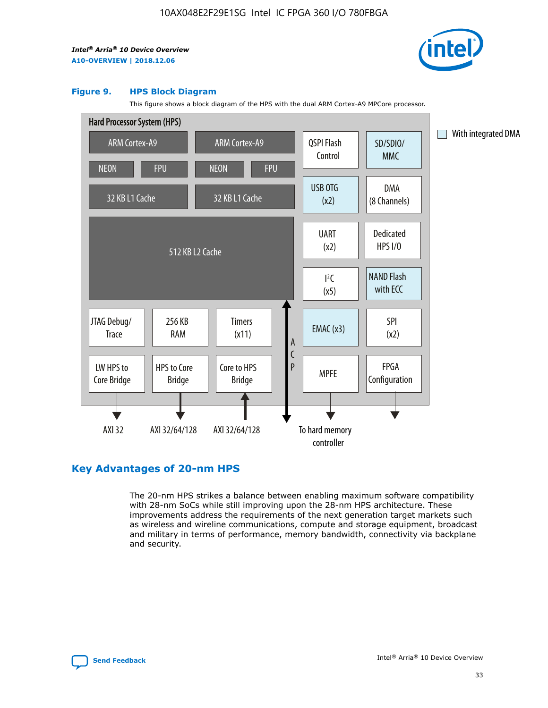

#### **Figure 9. HPS Block Diagram**

This figure shows a block diagram of the HPS with the dual ARM Cortex-A9 MPCore processor.



## **Key Advantages of 20-nm HPS**

The 20-nm HPS strikes a balance between enabling maximum software compatibility with 28-nm SoCs while still improving upon the 28-nm HPS architecture. These improvements address the requirements of the next generation target markets such as wireless and wireline communications, compute and storage equipment, broadcast and military in terms of performance, memory bandwidth, connectivity via backplane and security.

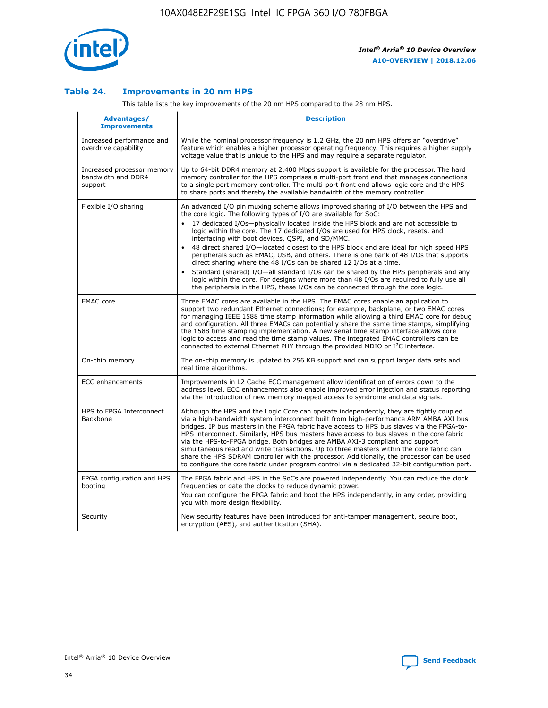

#### **Table 24. Improvements in 20 nm HPS**

This table lists the key improvements of the 20 nm HPS compared to the 28 nm HPS.

| Advantages/<br><b>Improvements</b>                          | <b>Description</b>                                                                                                                                                                                                                                                                                                                                                                                                                                                                                                                                                                                                                                                                                                                                                                                                                   |
|-------------------------------------------------------------|--------------------------------------------------------------------------------------------------------------------------------------------------------------------------------------------------------------------------------------------------------------------------------------------------------------------------------------------------------------------------------------------------------------------------------------------------------------------------------------------------------------------------------------------------------------------------------------------------------------------------------------------------------------------------------------------------------------------------------------------------------------------------------------------------------------------------------------|
| Increased performance and<br>overdrive capability           | While the nominal processor frequency is 1.2 GHz, the 20 nm HPS offers an "overdrive"<br>feature which enables a higher processor operating frequency. This requires a higher supply<br>voltage value that is unique to the HPS and may require a separate requlator.                                                                                                                                                                                                                                                                                                                                                                                                                                                                                                                                                                |
| Increased processor memory<br>bandwidth and DDR4<br>support | Up to 64-bit DDR4 memory at 2,400 Mbps support is available for the processor. The hard<br>memory controller for the HPS comprises a multi-port front end that manages connections<br>to a single port memory controller. The multi-port front end allows logic core and the HPS<br>to share ports and thereby the available bandwidth of the memory controller.                                                                                                                                                                                                                                                                                                                                                                                                                                                                     |
| Flexible I/O sharing                                        | An advanced I/O pin muxing scheme allows improved sharing of I/O between the HPS and<br>the core logic. The following types of I/O are available for SoC:<br>17 dedicated I/Os-physically located inside the HPS block and are not accessible to<br>logic within the core. The 17 dedicated I/Os are used for HPS clock, resets, and<br>interfacing with boot devices, QSPI, and SD/MMC.<br>48 direct shared I/O-located closest to the HPS block and are ideal for high speed HPS<br>peripherals such as EMAC, USB, and others. There is one bank of 48 I/Os that supports<br>direct sharing where the 48 I/Os can be shared 12 I/Os at a time.<br>Standard (shared) I/O—all standard I/Os can be shared by the HPS peripherals and any<br>logic within the core. For designs where more than 48 I/Os are required to fully use all |
| <b>EMAC</b> core                                            | the peripherals in the HPS, these I/Os can be connected through the core logic.<br>Three EMAC cores are available in the HPS. The EMAC cores enable an application to                                                                                                                                                                                                                                                                                                                                                                                                                                                                                                                                                                                                                                                                |
|                                                             | support two redundant Ethernet connections; for example, backplane, or two EMAC cores<br>for managing IEEE 1588 time stamp information while allowing a third EMAC core for debug<br>and configuration. All three EMACs can potentially share the same time stamps, simplifying<br>the 1588 time stamping implementation. A new serial time stamp interface allows core<br>logic to access and read the time stamp values. The integrated EMAC controllers can be<br>connected to external Ethernet PHY through the provided MDIO or I <sup>2</sup> C interface.                                                                                                                                                                                                                                                                     |
| On-chip memory                                              | The on-chip memory is updated to 256 KB support and can support larger data sets and<br>real time algorithms.                                                                                                                                                                                                                                                                                                                                                                                                                                                                                                                                                                                                                                                                                                                        |
| <b>ECC</b> enhancements                                     | Improvements in L2 Cache ECC management allow identification of errors down to the<br>address level. ECC enhancements also enable improved error injection and status reporting<br>via the introduction of new memory mapped access to syndrome and data signals.                                                                                                                                                                                                                                                                                                                                                                                                                                                                                                                                                                    |
| HPS to FPGA Interconnect<br>Backbone                        | Although the HPS and the Logic Core can operate independently, they are tightly coupled<br>via a high-bandwidth system interconnect built from high-performance ARM AMBA AXI bus<br>bridges. IP bus masters in the FPGA fabric have access to HPS bus slaves via the FPGA-to-<br>HPS interconnect. Similarly, HPS bus masters have access to bus slaves in the core fabric<br>via the HPS-to-FPGA bridge. Both bridges are AMBA AXI-3 compliant and support<br>simultaneous read and write transactions. Up to three masters within the core fabric can<br>share the HPS SDRAM controller with the processor. Additionally, the processor can be used<br>to configure the core fabric under program control via a dedicated 32-bit configuration port.                                                                               |
| FPGA configuration and HPS<br>booting                       | The FPGA fabric and HPS in the SoCs are powered independently. You can reduce the clock<br>frequencies or gate the clocks to reduce dynamic power.<br>You can configure the FPGA fabric and boot the HPS independently, in any order, providing<br>you with more design flexibility.                                                                                                                                                                                                                                                                                                                                                                                                                                                                                                                                                 |
| Security                                                    | New security features have been introduced for anti-tamper management, secure boot,<br>encryption (AES), and authentication (SHA).                                                                                                                                                                                                                                                                                                                                                                                                                                                                                                                                                                                                                                                                                                   |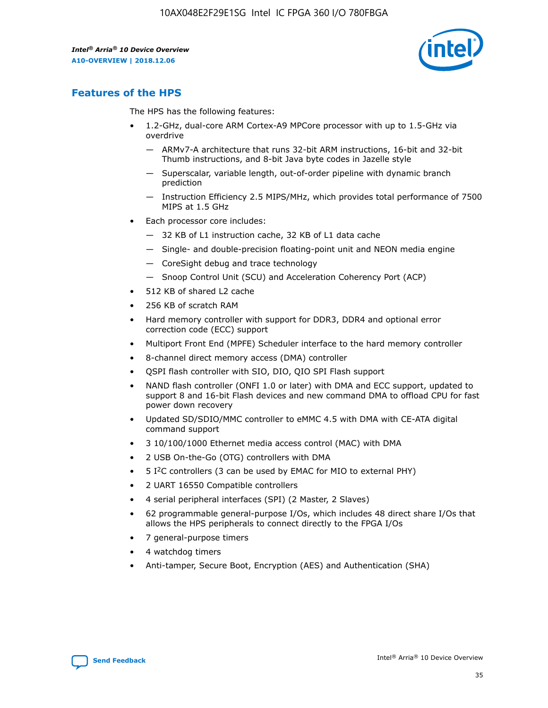

## **Features of the HPS**

The HPS has the following features:

- 1.2-GHz, dual-core ARM Cortex-A9 MPCore processor with up to 1.5-GHz via overdrive
	- ARMv7-A architecture that runs 32-bit ARM instructions, 16-bit and 32-bit Thumb instructions, and 8-bit Java byte codes in Jazelle style
	- Superscalar, variable length, out-of-order pipeline with dynamic branch prediction
	- Instruction Efficiency 2.5 MIPS/MHz, which provides total performance of 7500 MIPS at 1.5 GHz
- Each processor core includes:
	- 32 KB of L1 instruction cache, 32 KB of L1 data cache
	- Single- and double-precision floating-point unit and NEON media engine
	- CoreSight debug and trace technology
	- Snoop Control Unit (SCU) and Acceleration Coherency Port (ACP)
- 512 KB of shared L2 cache
- 256 KB of scratch RAM
- Hard memory controller with support for DDR3, DDR4 and optional error correction code (ECC) support
- Multiport Front End (MPFE) Scheduler interface to the hard memory controller
- 8-channel direct memory access (DMA) controller
- QSPI flash controller with SIO, DIO, QIO SPI Flash support
- NAND flash controller (ONFI 1.0 or later) with DMA and ECC support, updated to support 8 and 16-bit Flash devices and new command DMA to offload CPU for fast power down recovery
- Updated SD/SDIO/MMC controller to eMMC 4.5 with DMA with CE-ATA digital command support
- 3 10/100/1000 Ethernet media access control (MAC) with DMA
- 2 USB On-the-Go (OTG) controllers with DMA
- $\bullet$  5 I<sup>2</sup>C controllers (3 can be used by EMAC for MIO to external PHY)
- 2 UART 16550 Compatible controllers
- 4 serial peripheral interfaces (SPI) (2 Master, 2 Slaves)
- 62 programmable general-purpose I/Os, which includes 48 direct share I/Os that allows the HPS peripherals to connect directly to the FPGA I/Os
- 7 general-purpose timers
- 4 watchdog timers
- Anti-tamper, Secure Boot, Encryption (AES) and Authentication (SHA)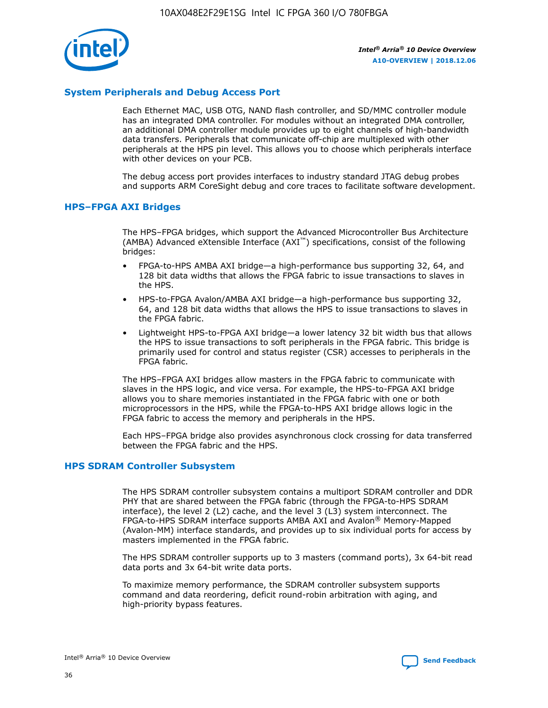

#### **System Peripherals and Debug Access Port**

Each Ethernet MAC, USB OTG, NAND flash controller, and SD/MMC controller module has an integrated DMA controller. For modules without an integrated DMA controller, an additional DMA controller module provides up to eight channels of high-bandwidth data transfers. Peripherals that communicate off-chip are multiplexed with other peripherals at the HPS pin level. This allows you to choose which peripherals interface with other devices on your PCB.

The debug access port provides interfaces to industry standard JTAG debug probes and supports ARM CoreSight debug and core traces to facilitate software development.

#### **HPS–FPGA AXI Bridges**

The HPS–FPGA bridges, which support the Advanced Microcontroller Bus Architecture (AMBA) Advanced eXtensible Interface (AXI™) specifications, consist of the following bridges:

- FPGA-to-HPS AMBA AXI bridge—a high-performance bus supporting 32, 64, and 128 bit data widths that allows the FPGA fabric to issue transactions to slaves in the HPS.
- HPS-to-FPGA Avalon/AMBA AXI bridge—a high-performance bus supporting 32, 64, and 128 bit data widths that allows the HPS to issue transactions to slaves in the FPGA fabric.
- Lightweight HPS-to-FPGA AXI bridge—a lower latency 32 bit width bus that allows the HPS to issue transactions to soft peripherals in the FPGA fabric. This bridge is primarily used for control and status register (CSR) accesses to peripherals in the FPGA fabric.

The HPS–FPGA AXI bridges allow masters in the FPGA fabric to communicate with slaves in the HPS logic, and vice versa. For example, the HPS-to-FPGA AXI bridge allows you to share memories instantiated in the FPGA fabric with one or both microprocessors in the HPS, while the FPGA-to-HPS AXI bridge allows logic in the FPGA fabric to access the memory and peripherals in the HPS.

Each HPS–FPGA bridge also provides asynchronous clock crossing for data transferred between the FPGA fabric and the HPS.

#### **HPS SDRAM Controller Subsystem**

The HPS SDRAM controller subsystem contains a multiport SDRAM controller and DDR PHY that are shared between the FPGA fabric (through the FPGA-to-HPS SDRAM interface), the level 2 (L2) cache, and the level 3 (L3) system interconnect. The FPGA-to-HPS SDRAM interface supports AMBA AXI and Avalon® Memory-Mapped (Avalon-MM) interface standards, and provides up to six individual ports for access by masters implemented in the FPGA fabric.

The HPS SDRAM controller supports up to 3 masters (command ports), 3x 64-bit read data ports and 3x 64-bit write data ports.

To maximize memory performance, the SDRAM controller subsystem supports command and data reordering, deficit round-robin arbitration with aging, and high-priority bypass features.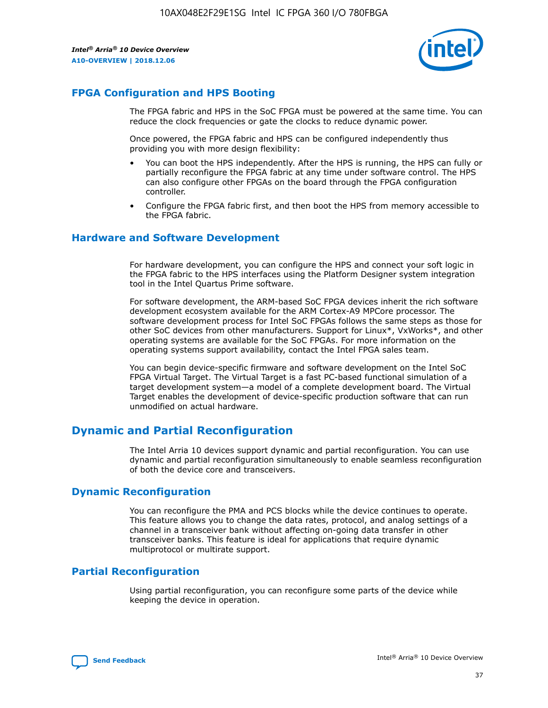

## **FPGA Configuration and HPS Booting**

The FPGA fabric and HPS in the SoC FPGA must be powered at the same time. You can reduce the clock frequencies or gate the clocks to reduce dynamic power.

Once powered, the FPGA fabric and HPS can be configured independently thus providing you with more design flexibility:

- You can boot the HPS independently. After the HPS is running, the HPS can fully or partially reconfigure the FPGA fabric at any time under software control. The HPS can also configure other FPGAs on the board through the FPGA configuration controller.
- Configure the FPGA fabric first, and then boot the HPS from memory accessible to the FPGA fabric.

#### **Hardware and Software Development**

For hardware development, you can configure the HPS and connect your soft logic in the FPGA fabric to the HPS interfaces using the Platform Designer system integration tool in the Intel Quartus Prime software.

For software development, the ARM-based SoC FPGA devices inherit the rich software development ecosystem available for the ARM Cortex-A9 MPCore processor. The software development process for Intel SoC FPGAs follows the same steps as those for other SoC devices from other manufacturers. Support for Linux\*, VxWorks\*, and other operating systems are available for the SoC FPGAs. For more information on the operating systems support availability, contact the Intel FPGA sales team.

You can begin device-specific firmware and software development on the Intel SoC FPGA Virtual Target. The Virtual Target is a fast PC-based functional simulation of a target development system—a model of a complete development board. The Virtual Target enables the development of device-specific production software that can run unmodified on actual hardware.

## **Dynamic and Partial Reconfiguration**

The Intel Arria 10 devices support dynamic and partial reconfiguration. You can use dynamic and partial reconfiguration simultaneously to enable seamless reconfiguration of both the device core and transceivers.

## **Dynamic Reconfiguration**

You can reconfigure the PMA and PCS blocks while the device continues to operate. This feature allows you to change the data rates, protocol, and analog settings of a channel in a transceiver bank without affecting on-going data transfer in other transceiver banks. This feature is ideal for applications that require dynamic multiprotocol or multirate support.

## **Partial Reconfiguration**

Using partial reconfiguration, you can reconfigure some parts of the device while keeping the device in operation.

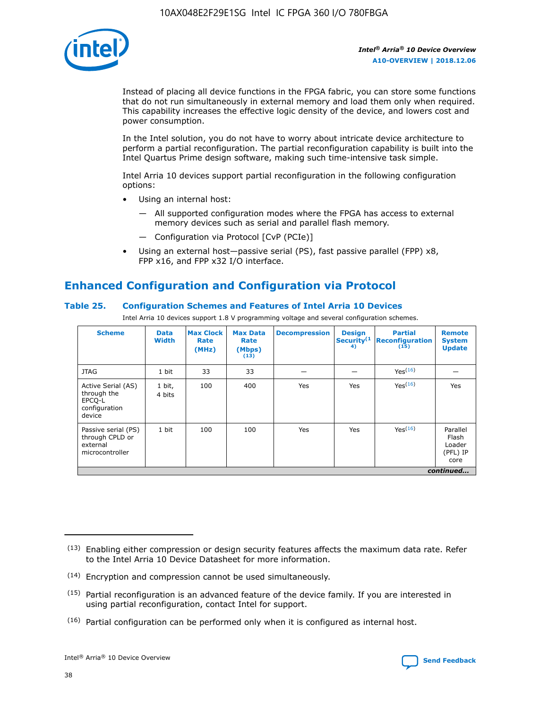

Instead of placing all device functions in the FPGA fabric, you can store some functions that do not run simultaneously in external memory and load them only when required. This capability increases the effective logic density of the device, and lowers cost and power consumption.

In the Intel solution, you do not have to worry about intricate device architecture to perform a partial reconfiguration. The partial reconfiguration capability is built into the Intel Quartus Prime design software, making such time-intensive task simple.

Intel Arria 10 devices support partial reconfiguration in the following configuration options:

- Using an internal host:
	- All supported configuration modes where the FPGA has access to external memory devices such as serial and parallel flash memory.
	- Configuration via Protocol [CvP (PCIe)]
- Using an external host—passive serial (PS), fast passive parallel (FPP) x8, FPP x16, and FPP x32 I/O interface.

## **Enhanced Configuration and Configuration via Protocol**

#### **Table 25. Configuration Schemes and Features of Intel Arria 10 Devices**

Intel Arria 10 devices support 1.8 V programming voltage and several configuration schemes.

| <b>Scheme</b>                                                          | <b>Data</b><br><b>Width</b> | <b>Max Clock</b><br>Rate<br>(MHz) | <b>Max Data</b><br>Rate<br>(Mbps)<br>(13) | <b>Decompression</b> | <b>Design</b><br>Security <sup>(1</sup><br>4) | <b>Partial</b><br>Reconfiguration<br>(15) | <b>Remote</b><br><b>System</b><br><b>Update</b> |
|------------------------------------------------------------------------|-----------------------------|-----------------------------------|-------------------------------------------|----------------------|-----------------------------------------------|-------------------------------------------|-------------------------------------------------|
| <b>JTAG</b>                                                            | 1 bit                       | 33                                | 33                                        |                      |                                               | Yes <sup>(16)</sup>                       |                                                 |
| Active Serial (AS)<br>through the<br>EPCO-L<br>configuration<br>device | 1 bit,<br>4 bits            | 100                               | 400                                       | Yes                  | Yes                                           | $Y_{PS}(16)$                              | Yes                                             |
| Passive serial (PS)<br>through CPLD or<br>external<br>microcontroller  | 1 bit                       | 100                               | 100                                       | Yes                  | Yes                                           | Yes(16)                                   | Parallel<br>Flash<br>Loader<br>(PFL) IP<br>core |
|                                                                        |                             |                                   |                                           |                      |                                               |                                           | continued                                       |

<sup>(13)</sup> Enabling either compression or design security features affects the maximum data rate. Refer to the Intel Arria 10 Device Datasheet for more information.

<sup>(14)</sup> Encryption and compression cannot be used simultaneously.

 $<sup>(15)</sup>$  Partial reconfiguration is an advanced feature of the device family. If you are interested in</sup> using partial reconfiguration, contact Intel for support.

 $(16)$  Partial configuration can be performed only when it is configured as internal host.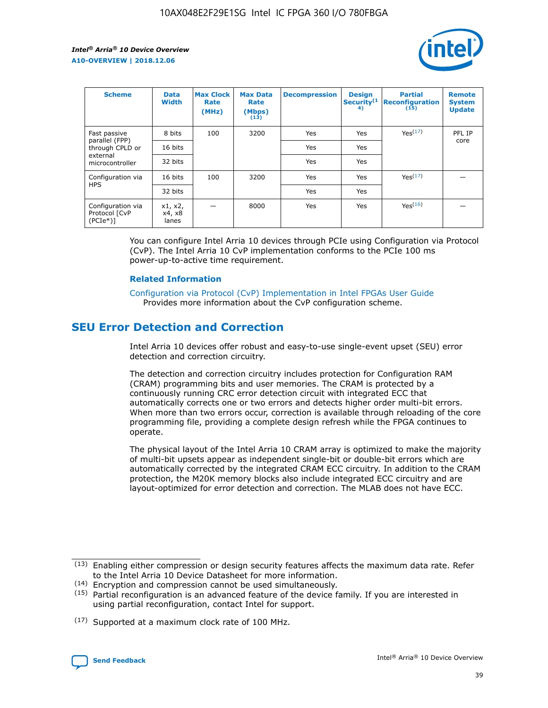

| <b>Scheme</b>                                    | <b>Data</b><br><b>Width</b> | <b>Max Clock</b><br>Rate<br>(MHz) | <b>Max Data</b><br>Rate<br>(Mbps)<br>(13) | <b>Decompression</b> | <b>Design</b><br>Security <sup>(1</sup><br>4) | <b>Partial</b><br><b>Reconfiguration</b><br>(15) | <b>Remote</b><br><b>System</b><br><b>Update</b> |
|--------------------------------------------------|-----------------------------|-----------------------------------|-------------------------------------------|----------------------|-----------------------------------------------|--------------------------------------------------|-------------------------------------------------|
| Fast passive                                     | 8 bits                      | 100                               | 3200                                      | <b>Yes</b>           | Yes                                           | Yes(17)                                          | PFL IP                                          |
| parallel (FPP)<br>through CPLD or                | 16 bits                     |                                   |                                           | Yes                  | Yes                                           |                                                  | core                                            |
| external<br>microcontroller                      | 32 bits                     |                                   |                                           | Yes                  | Yes                                           |                                                  |                                                 |
| Configuration via                                | 16 bits                     | 100                               | 3200                                      | Yes                  | Yes                                           | Yes <sup>(17)</sup>                              |                                                 |
| <b>HPS</b>                                       | 32 bits                     |                                   |                                           | Yes                  | Yes                                           |                                                  |                                                 |
| Configuration via<br>Protocol [CvP<br>$(PCIe^*)$ | x1, x2,<br>x4, x8<br>lanes  |                                   | 8000                                      | Yes                  | Yes                                           | Yes <sup>(16)</sup>                              |                                                 |

You can configure Intel Arria 10 devices through PCIe using Configuration via Protocol (CvP). The Intel Arria 10 CvP implementation conforms to the PCIe 100 ms power-up-to-active time requirement.

#### **Related Information**

[Configuration via Protocol \(CvP\) Implementation in Intel FPGAs User Guide](https://www.intel.com/content/www/us/en/programmable/documentation/dsu1441819344145.html#dsu1442269728522) Provides more information about the CvP configuration scheme.

## **SEU Error Detection and Correction**

Intel Arria 10 devices offer robust and easy-to-use single-event upset (SEU) error detection and correction circuitry.

The detection and correction circuitry includes protection for Configuration RAM (CRAM) programming bits and user memories. The CRAM is protected by a continuously running CRC error detection circuit with integrated ECC that automatically corrects one or two errors and detects higher order multi-bit errors. When more than two errors occur, correction is available through reloading of the core programming file, providing a complete design refresh while the FPGA continues to operate.

The physical layout of the Intel Arria 10 CRAM array is optimized to make the majority of multi-bit upsets appear as independent single-bit or double-bit errors which are automatically corrected by the integrated CRAM ECC circuitry. In addition to the CRAM protection, the M20K memory blocks also include integrated ECC circuitry and are layout-optimized for error detection and correction. The MLAB does not have ECC.

(14) Encryption and compression cannot be used simultaneously.

<sup>(17)</sup> Supported at a maximum clock rate of 100 MHz.



 $(13)$  Enabling either compression or design security features affects the maximum data rate. Refer to the Intel Arria 10 Device Datasheet for more information.

 $(15)$  Partial reconfiguration is an advanced feature of the device family. If you are interested in using partial reconfiguration, contact Intel for support.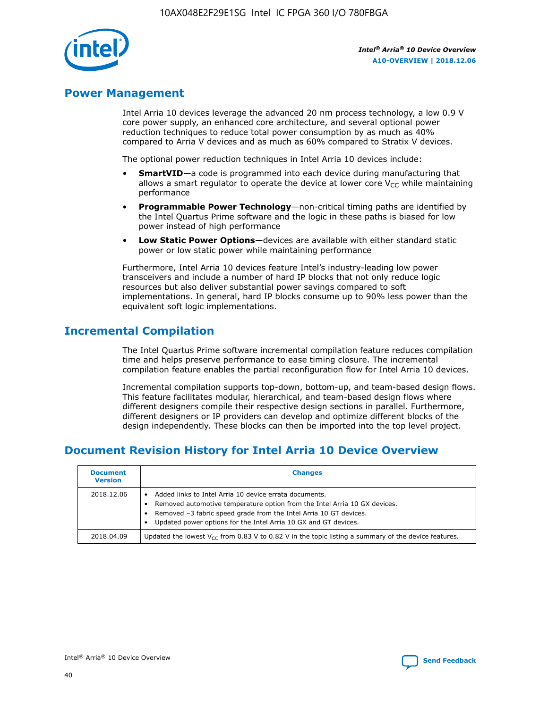

## **Power Management**

Intel Arria 10 devices leverage the advanced 20 nm process technology, a low 0.9 V core power supply, an enhanced core architecture, and several optional power reduction techniques to reduce total power consumption by as much as 40% compared to Arria V devices and as much as 60% compared to Stratix V devices.

The optional power reduction techniques in Intel Arria 10 devices include:

- **SmartVID**—a code is programmed into each device during manufacturing that allows a smart regulator to operate the device at lower core  $V_{CC}$  while maintaining performance
- **Programmable Power Technology**—non-critical timing paths are identified by the Intel Quartus Prime software and the logic in these paths is biased for low power instead of high performance
- **Low Static Power Options**—devices are available with either standard static power or low static power while maintaining performance

Furthermore, Intel Arria 10 devices feature Intel's industry-leading low power transceivers and include a number of hard IP blocks that not only reduce logic resources but also deliver substantial power savings compared to soft implementations. In general, hard IP blocks consume up to 90% less power than the equivalent soft logic implementations.

## **Incremental Compilation**

The Intel Quartus Prime software incremental compilation feature reduces compilation time and helps preserve performance to ease timing closure. The incremental compilation feature enables the partial reconfiguration flow for Intel Arria 10 devices.

Incremental compilation supports top-down, bottom-up, and team-based design flows. This feature facilitates modular, hierarchical, and team-based design flows where different designers compile their respective design sections in parallel. Furthermore, different designers or IP providers can develop and optimize different blocks of the design independently. These blocks can then be imported into the top level project.

## **Document Revision History for Intel Arria 10 Device Overview**

| <b>Document</b><br><b>Version</b> | <b>Changes</b>                                                                                                                                                                                                                                                              |
|-----------------------------------|-----------------------------------------------------------------------------------------------------------------------------------------------------------------------------------------------------------------------------------------------------------------------------|
| 2018.12.06                        | Added links to Intel Arria 10 device errata documents.<br>Removed automotive temperature option from the Intel Arria 10 GX devices.<br>Removed -3 fabric speed grade from the Intel Arria 10 GT devices.<br>Updated power options for the Intel Arria 10 GX and GT devices. |
| 2018.04.09                        | Updated the lowest $V_{CC}$ from 0.83 V to 0.82 V in the topic listing a summary of the device features.                                                                                                                                                                    |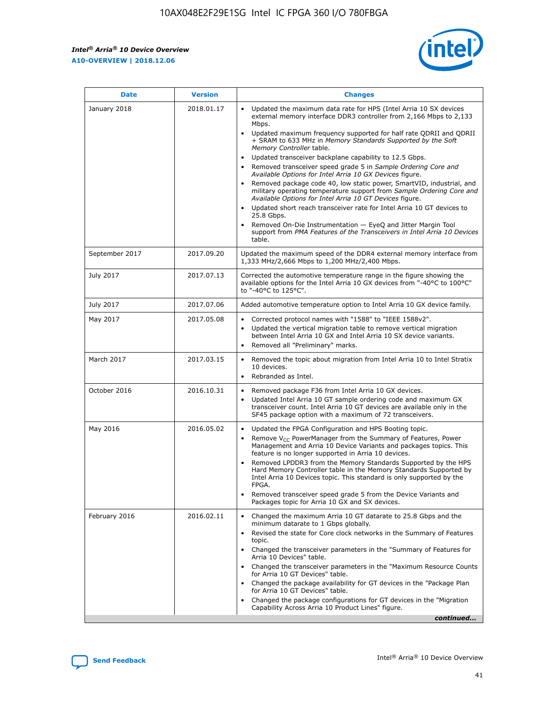$\overline{\phantom{a}}$ 

 $\mathsf{r}$ 



| January 2018<br>Updated the maximum data rate for HPS (Intel Arria 10 SX devices<br>2018.01.17<br>external memory interface DDR3 controller from 2,166 Mbps to 2,133<br>Mbps.<br>$\bullet$<br>+ SRAM to 633 MHz in Memory Standards Supported by the Soft<br>Memory Controller table.<br>Updated transceiver backplane capability to 12.5 Gbps.<br>$\bullet$<br>Removed transceiver speed grade 5 in Sample Ordering Core and<br>Available Options for Intel Arria 10 GX Devices figure.<br>Available Options for Intel Arria 10 GT Devices figure.<br>Updated short reach transceiver rate for Intel Arria 10 GT devices to<br>$\bullet$<br>25.8 Gbps.<br>Removed On-Die Instrumentation - EyeQ and Jitter Margin Tool<br>table.<br>2017.09.20<br>September 2017<br>1,333 MHz/2,666 Mbps to 1,200 MHz/2,400 Mbps.<br>July 2017<br>2017.07.13<br>Corrected the automotive temperature range in the figure showing the<br>available options for the Intel Arria 10 GX devices from "-40°C to 100°C"<br>to "-40°C to 125°C".<br>July 2017<br>2017.07.06<br>Added automotive temperature option to Intel Arria 10 GX device family.<br>2017.05.08<br>Corrected protocol names with "1588" to "IEEE 1588v2".<br>May 2017<br>$\bullet$<br>Updated the vertical migration table to remove vertical migration<br>$\bullet$<br>between Intel Arria 10 GX and Intel Arria 10 SX device variants.<br>Removed all "Preliminary" marks.<br>2017.03.15<br>March 2017<br>Removed the topic about migration from Intel Arria 10 to Intel Stratix<br>10 devices.<br>Rebranded as Intel.<br>$\bullet$<br>October 2016<br>2016.10.31<br>Removed package F36 from Intel Arria 10 GX devices.<br>$\bullet$<br>Updated Intel Arria 10 GT sample ordering code and maximum GX<br>$\bullet$<br>transceiver count. Intel Arria 10 GT devices are available only in the<br>SF45 package option with a maximum of 72 transceivers.<br>May 2016<br>2016.05.02<br>Updated the FPGA Configuration and HPS Booting topic.<br>Remove $V_{CC}$ PowerManager from the Summary of Features, Power<br>Management and Arria 10 Device Variants and packages topics. This<br>feature is no longer supported in Arria 10 devices.<br>Removed LPDDR3 from the Memory Standards Supported by the HPS<br>Hard Memory Controller table in the Memory Standards Supported by<br>Intel Arria 10 Devices topic. This standard is only supported by the<br>FPGA.<br>Removed transceiver speed grade 5 from the Device Variants and<br>Packages topic for Arria 10 GX and SX devices.<br>Changed the maximum Arria 10 GT datarate to 25.8 Gbps and the<br>February 2016<br>2016.02.11<br>minimum datarate to 1 Gbps globally.<br>Revised the state for Core clock networks in the Summary of Features<br>$\bullet$<br>topic.<br>• Changed the transceiver parameters in the "Summary of Features for<br>Arria 10 Devices" table.<br>for Arria 10 GT Devices" table.<br>• Changed the package availability for GT devices in the "Package Plan<br>for Arria 10 GT Devices" table.<br>Changed the package configurations for GT devices in the "Migration"<br>Capability Across Arria 10 Product Lines" figure. | <b>Date</b> | <b>Version</b> | <b>Changes</b>                                                                                                                                                                                                                                                                               |
|----------------------------------------------------------------------------------------------------------------------------------------------------------------------------------------------------------------------------------------------------------------------------------------------------------------------------------------------------------------------------------------------------------------------------------------------------------------------------------------------------------------------------------------------------------------------------------------------------------------------------------------------------------------------------------------------------------------------------------------------------------------------------------------------------------------------------------------------------------------------------------------------------------------------------------------------------------------------------------------------------------------------------------------------------------------------------------------------------------------------------------------------------------------------------------------------------------------------------------------------------------------------------------------------------------------------------------------------------------------------------------------------------------------------------------------------------------------------------------------------------------------------------------------------------------------------------------------------------------------------------------------------------------------------------------------------------------------------------------------------------------------------------------------------------------------------------------------------------------------------------------------------------------------------------------------------------------------------------------------------------------------------------------------------------------------------------------------------------------------------------------------------------------------------------------------------------------------------------------------------------------------------------------------------------------------------------------------------------------------------------------------------------------------------------------------------------------------------------------------------------------------------------------------------------------------------------------------------------------------------------------------------------------------------------------------------------------------------------------------------------------------------------------------------------------------------------------------------------------------------------------------------------------------------------------------------------------------------------------------------------------------------------------------------------------------------------------------------------------------------------------------------------------------|-------------|----------------|----------------------------------------------------------------------------------------------------------------------------------------------------------------------------------------------------------------------------------------------------------------------------------------------|
|                                                                                                                                                                                                                                                                                                                                                                                                                                                                                                                                                                                                                                                                                                                                                                                                                                                                                                                                                                                                                                                                                                                                                                                                                                                                                                                                                                                                                                                                                                                                                                                                                                                                                                                                                                                                                                                                                                                                                                                                                                                                                                                                                                                                                                                                                                                                                                                                                                                                                                                                                                                                                                                                                                                                                                                                                                                                                                                                                                                                                                                                                                                                                                |             |                | Updated maximum frequency supported for half rate QDRII and QDRII<br>Removed package code 40, low static power, SmartVID, industrial, and<br>military operating temperature support from Sample Ordering Core and<br>support from PMA Features of the Transceivers in Intel Arria 10 Devices |
|                                                                                                                                                                                                                                                                                                                                                                                                                                                                                                                                                                                                                                                                                                                                                                                                                                                                                                                                                                                                                                                                                                                                                                                                                                                                                                                                                                                                                                                                                                                                                                                                                                                                                                                                                                                                                                                                                                                                                                                                                                                                                                                                                                                                                                                                                                                                                                                                                                                                                                                                                                                                                                                                                                                                                                                                                                                                                                                                                                                                                                                                                                                                                                |             |                | Updated the maximum speed of the DDR4 external memory interface from                                                                                                                                                                                                                         |
|                                                                                                                                                                                                                                                                                                                                                                                                                                                                                                                                                                                                                                                                                                                                                                                                                                                                                                                                                                                                                                                                                                                                                                                                                                                                                                                                                                                                                                                                                                                                                                                                                                                                                                                                                                                                                                                                                                                                                                                                                                                                                                                                                                                                                                                                                                                                                                                                                                                                                                                                                                                                                                                                                                                                                                                                                                                                                                                                                                                                                                                                                                                                                                |             |                |                                                                                                                                                                                                                                                                                              |
|                                                                                                                                                                                                                                                                                                                                                                                                                                                                                                                                                                                                                                                                                                                                                                                                                                                                                                                                                                                                                                                                                                                                                                                                                                                                                                                                                                                                                                                                                                                                                                                                                                                                                                                                                                                                                                                                                                                                                                                                                                                                                                                                                                                                                                                                                                                                                                                                                                                                                                                                                                                                                                                                                                                                                                                                                                                                                                                                                                                                                                                                                                                                                                |             |                |                                                                                                                                                                                                                                                                                              |
|                                                                                                                                                                                                                                                                                                                                                                                                                                                                                                                                                                                                                                                                                                                                                                                                                                                                                                                                                                                                                                                                                                                                                                                                                                                                                                                                                                                                                                                                                                                                                                                                                                                                                                                                                                                                                                                                                                                                                                                                                                                                                                                                                                                                                                                                                                                                                                                                                                                                                                                                                                                                                                                                                                                                                                                                                                                                                                                                                                                                                                                                                                                                                                |             |                |                                                                                                                                                                                                                                                                                              |
|                                                                                                                                                                                                                                                                                                                                                                                                                                                                                                                                                                                                                                                                                                                                                                                                                                                                                                                                                                                                                                                                                                                                                                                                                                                                                                                                                                                                                                                                                                                                                                                                                                                                                                                                                                                                                                                                                                                                                                                                                                                                                                                                                                                                                                                                                                                                                                                                                                                                                                                                                                                                                                                                                                                                                                                                                                                                                                                                                                                                                                                                                                                                                                |             |                |                                                                                                                                                                                                                                                                                              |
|                                                                                                                                                                                                                                                                                                                                                                                                                                                                                                                                                                                                                                                                                                                                                                                                                                                                                                                                                                                                                                                                                                                                                                                                                                                                                                                                                                                                                                                                                                                                                                                                                                                                                                                                                                                                                                                                                                                                                                                                                                                                                                                                                                                                                                                                                                                                                                                                                                                                                                                                                                                                                                                                                                                                                                                                                                                                                                                                                                                                                                                                                                                                                                |             |                |                                                                                                                                                                                                                                                                                              |
|                                                                                                                                                                                                                                                                                                                                                                                                                                                                                                                                                                                                                                                                                                                                                                                                                                                                                                                                                                                                                                                                                                                                                                                                                                                                                                                                                                                                                                                                                                                                                                                                                                                                                                                                                                                                                                                                                                                                                                                                                                                                                                                                                                                                                                                                                                                                                                                                                                                                                                                                                                                                                                                                                                                                                                                                                                                                                                                                                                                                                                                                                                                                                                |             |                |                                                                                                                                                                                                                                                                                              |
|                                                                                                                                                                                                                                                                                                                                                                                                                                                                                                                                                                                                                                                                                                                                                                                                                                                                                                                                                                                                                                                                                                                                                                                                                                                                                                                                                                                                                                                                                                                                                                                                                                                                                                                                                                                                                                                                                                                                                                                                                                                                                                                                                                                                                                                                                                                                                                                                                                                                                                                                                                                                                                                                                                                                                                                                                                                                                                                                                                                                                                                                                                                                                                |             |                | Changed the transceiver parameters in the "Maximum Resource Counts"<br>continued                                                                                                                                                                                                             |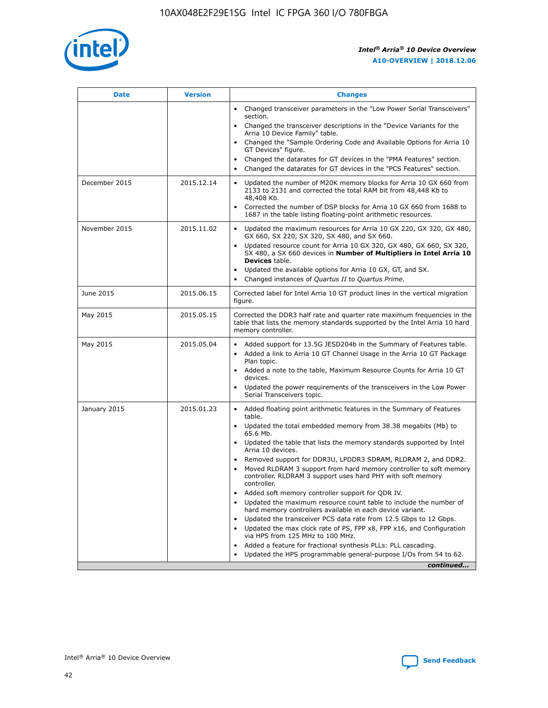

| <b>Date</b>   | <b>Version</b> | <b>Changes</b>                                                                                                                                                               |
|---------------|----------------|------------------------------------------------------------------------------------------------------------------------------------------------------------------------------|
|               |                | • Changed transceiver parameters in the "Low Power Serial Transceivers"<br>section.                                                                                          |
|               |                | • Changed the transceiver descriptions in the "Device Variants for the<br>Arria 10 Device Family" table.                                                                     |
|               |                | Changed the "Sample Ordering Code and Available Options for Arria 10<br>$\bullet$<br>GT Devices" figure.                                                                     |
|               |                | Changed the datarates for GT devices in the "PMA Features" section.                                                                                                          |
|               |                | Changed the datarates for GT devices in the "PCS Features" section.<br>$\bullet$                                                                                             |
| December 2015 | 2015.12.14     | Updated the number of M20K memory blocks for Arria 10 GX 660 from<br>2133 to 2131 and corrected the total RAM bit from 48,448 Kb to<br>48,408 Kb.                            |
|               |                | Corrected the number of DSP blocks for Arria 10 GX 660 from 1688 to<br>1687 in the table listing floating-point arithmetic resources.                                        |
| November 2015 | 2015.11.02     | Updated the maximum resources for Arria 10 GX 220, GX 320, GX 480,<br>$\bullet$<br>GX 660, SX 220, SX 320, SX 480, and SX 660.                                               |
|               |                | • Updated resource count for Arria 10 GX 320, GX 480, GX 660, SX 320,<br>SX 480, a SX 660 devices in Number of Multipliers in Intel Arria 10<br><b>Devices</b> table.        |
|               |                | Updated the available options for Arria 10 GX, GT, and SX.                                                                                                                   |
|               |                | Changed instances of Quartus II to Quartus Prime.<br>$\bullet$                                                                                                               |
| June 2015     | 2015.06.15     | Corrected label for Intel Arria 10 GT product lines in the vertical migration<br>figure.                                                                                     |
| May 2015      | 2015.05.15     | Corrected the DDR3 half rate and quarter rate maximum frequencies in the<br>table that lists the memory standards supported by the Intel Arria 10 hard<br>memory controller. |
| May 2015      | 2015.05.04     | • Added support for 13.5G JESD204b in the Summary of Features table.                                                                                                         |
|               |                | • Added a link to Arria 10 GT Channel Usage in the Arria 10 GT Package<br>Plan topic.                                                                                        |
|               |                | • Added a note to the table, Maximum Resource Counts for Arria 10 GT<br>devices.                                                                                             |
|               |                | • Updated the power requirements of the transceivers in the Low Power<br>Serial Transceivers topic.                                                                          |
| January 2015  | 2015.01.23     | • Added floating point arithmetic features in the Summary of Features<br>table.                                                                                              |
|               |                | • Updated the total embedded memory from 38.38 megabits (Mb) to<br>65.6 Mb.                                                                                                  |
|               |                | • Updated the table that lists the memory standards supported by Intel<br>Arria 10 devices.                                                                                  |
|               |                | Removed support for DDR3U, LPDDR3 SDRAM, RLDRAM 2, and DDR2.                                                                                                                 |
|               |                | Moved RLDRAM 3 support from hard memory controller to soft memory<br>controller. RLDRAM 3 support uses hard PHY with soft memory<br>controller.                              |
|               |                | Added soft memory controller support for QDR IV.<br>٠                                                                                                                        |
|               |                | Updated the maximum resource count table to include the number of<br>hard memory controllers available in each device variant.                                               |
|               |                | Updated the transceiver PCS data rate from 12.5 Gbps to 12 Gbps.<br>$\bullet$                                                                                                |
|               |                | Updated the max clock rate of PS, FPP x8, FPP x16, and Configuration<br>via HPS from 125 MHz to 100 MHz.                                                                     |
|               |                | Added a feature for fractional synthesis PLLs: PLL cascading.                                                                                                                |
|               |                | Updated the HPS programmable general-purpose I/Os from 54 to 62.<br>$\bullet$                                                                                                |
|               |                | continued                                                                                                                                                                    |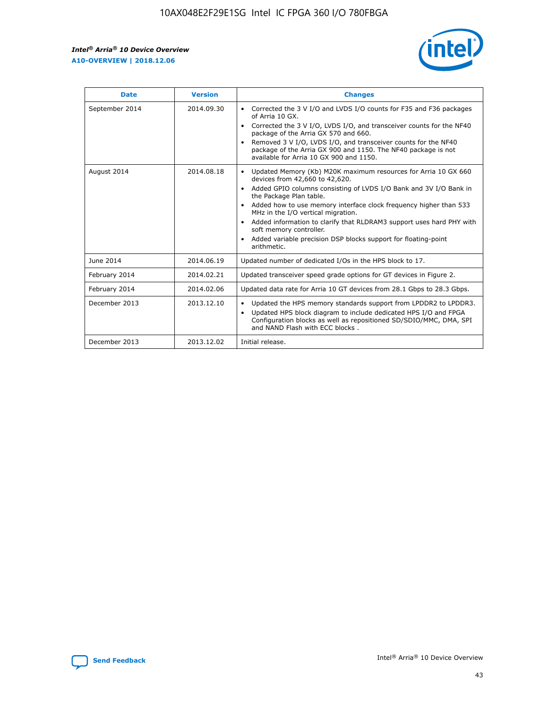

| <b>Date</b>    | <b>Version</b> | <b>Changes</b>                                                                                                                                                                                                                                                                                                                                                                                                                                                                                                                                                   |
|----------------|----------------|------------------------------------------------------------------------------------------------------------------------------------------------------------------------------------------------------------------------------------------------------------------------------------------------------------------------------------------------------------------------------------------------------------------------------------------------------------------------------------------------------------------------------------------------------------------|
| September 2014 | 2014.09.30     | Corrected the 3 V I/O and LVDS I/O counts for F35 and F36 packages<br>$\bullet$<br>of Arria 10 GX.<br>Corrected the 3 V I/O, LVDS I/O, and transceiver counts for the NF40<br>$\bullet$<br>package of the Arria GX 570 and 660.<br>Removed 3 V I/O, LVDS I/O, and transceiver counts for the NF40<br>$\bullet$<br>package of the Arria GX 900 and 1150. The NF40 package is not<br>available for Arria 10 GX 900 and 1150.                                                                                                                                       |
| August 2014    | 2014.08.18     | Updated Memory (Kb) M20K maximum resources for Arria 10 GX 660<br>$\bullet$<br>devices from 42,660 to 42,620.<br>Added GPIO columns consisting of LVDS I/O Bank and 3V I/O Bank in<br>$\bullet$<br>the Package Plan table.<br>Added how to use memory interface clock frequency higher than 533<br>$\bullet$<br>MHz in the I/O vertical migration.<br>Added information to clarify that RLDRAM3 support uses hard PHY with<br>$\bullet$<br>soft memory controller.<br>Added variable precision DSP blocks support for floating-point<br>$\bullet$<br>arithmetic. |
| June 2014      | 2014.06.19     | Updated number of dedicated I/Os in the HPS block to 17.                                                                                                                                                                                                                                                                                                                                                                                                                                                                                                         |
| February 2014  | 2014.02.21     | Updated transceiver speed grade options for GT devices in Figure 2.                                                                                                                                                                                                                                                                                                                                                                                                                                                                                              |
| February 2014  | 2014.02.06     | Updated data rate for Arria 10 GT devices from 28.1 Gbps to 28.3 Gbps.                                                                                                                                                                                                                                                                                                                                                                                                                                                                                           |
| December 2013  | 2013.12.10     | Updated the HPS memory standards support from LPDDR2 to LPDDR3.<br>٠<br>Updated HPS block diagram to include dedicated HPS I/O and FPGA<br>$\bullet$<br>Configuration blocks as well as repositioned SD/SDIO/MMC, DMA, SPI<br>and NAND Flash with ECC blocks.                                                                                                                                                                                                                                                                                                    |
| December 2013  | 2013.12.02     | Initial release.                                                                                                                                                                                                                                                                                                                                                                                                                                                                                                                                                 |